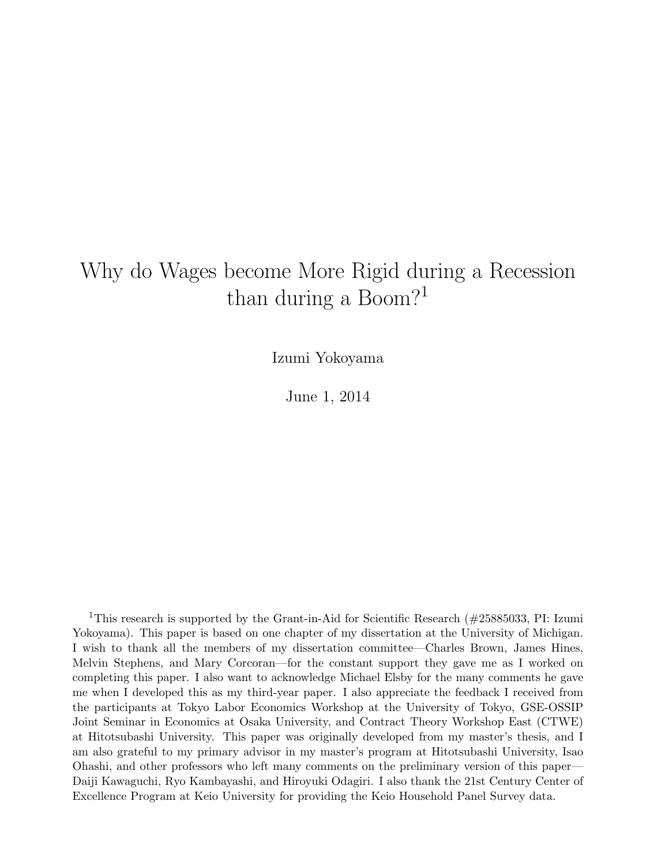# Why do Wages become More Rigid during a Recession than during a Boom?<sup>1</sup>

Izumi Yokoyama

June 1, 2014

<sup>1</sup>This research is supported by the Grant-in-Aid for Scientific Research ( $\#25885033$ , PI: Izumi Yokoyama). This paper is based on one chapter of my dissertation at the University of Michigan. I wish to thank all the members of my dissertation committee—Charles Brown, James Hines, Melvin Stephens, and Mary Corcoran—for the constant support they gave me as I worked on completing this paper. I also want to acknowledge Michael Elsby for the many comments he gave me when I developed this as my third-year paper. I also appreciate the feedback I received from the participants at Tokyo Labor Economics Workshop at the University of Tokyo, GSE-OSSIP Joint Seminar in Economics at Osaka University, and Contract Theory Workshop East (CTWE) at Hitotsubashi University. This paper was originally developed from my master's thesis, and I am also grateful to my primary advisor in my master's program at Hitotsubashi University, Isao Ohashi, and other professors who left many comments on the preliminary version of this paper— Daiji Kawaguchi, Ryo Kambayashi, and Hiroyuki Odagiri. I also thank the 21st Century Center of Excellence Program at Keio University for providing the Keio Household Panel Survey data.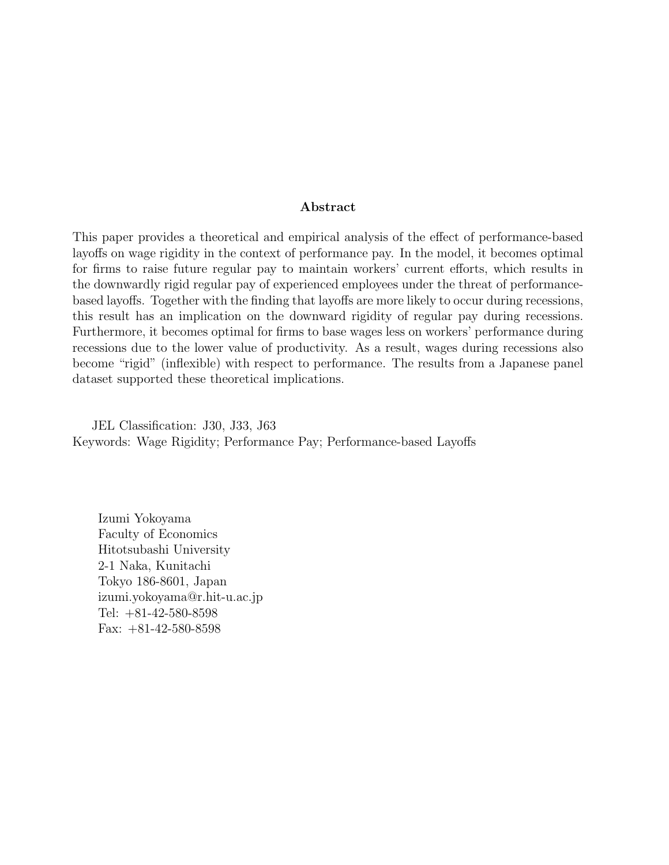#### Abstract

This paper provides a theoretical and empirical analysis of the effect of performance-based layoffs on wage rigidity in the context of performance pay. In the model, it becomes optimal for firms to raise future regular pay to maintain workers' current efforts, which results in the downwardly rigid regular pay of experienced employees under the threat of performancebased layoffs. Together with the finding that layoffs are more likely to occur during recessions, this result has an implication on the downward rigidity of regular pay during recessions. Furthermore, it becomes optimal for firms to base wages less on workers' performance during recessions due to the lower value of productivity. As a result, wages during recessions also become "rigid" (inflexible) with respect to performance. The results from a Japanese panel dataset supported these theoretical implications.

JEL Classification: J30, J33, J63 Keywords: Wage Rigidity; Performance Pay; Performance-based Layoffs

Izumi Yokoyama Faculty of Economics Hitotsubashi University 2-1 Naka, Kunitachi Tokyo 186-8601, Japan izumi.yokoyama@r.hit-u.ac.jp Tel: +81-42-580-8598 Fax: +81-42-580-8598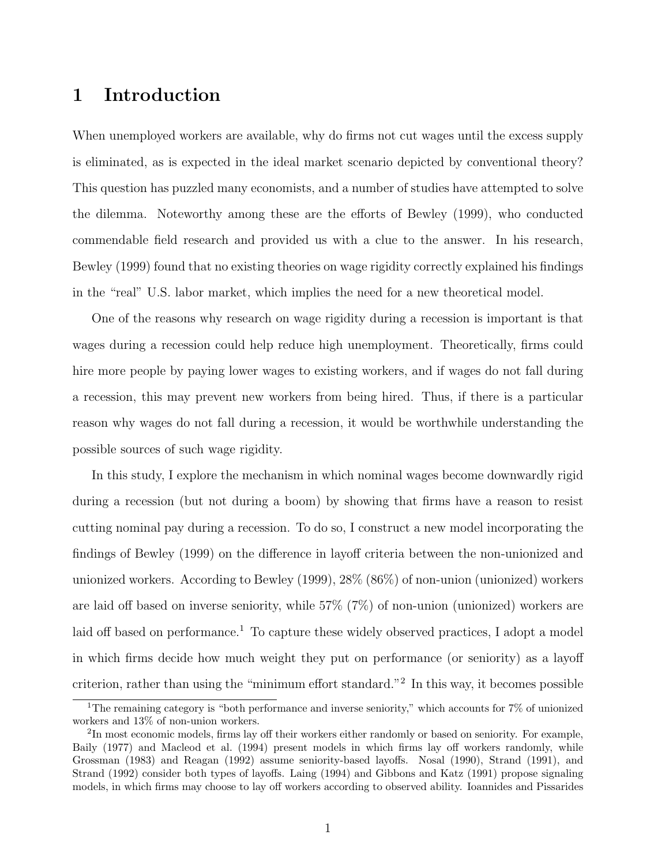# 1 Introduction

When unemployed workers are available, why do firms not cut wages until the excess supply is eliminated, as is expected in the ideal market scenario depicted by conventional theory? This question has puzzled many economists, and a number of studies have attempted to solve the dilemma. Noteworthy among these are the efforts of Bewley (1999), who conducted commendable field research and provided us with a clue to the answer. In his research, Bewley (1999) found that no existing theories on wage rigidity correctly explained his findings in the "real" U.S. labor market, which implies the need for a new theoretical model.

One of the reasons why research on wage rigidity during a recession is important is that wages during a recession could help reduce high unemployment. Theoretically, firms could hire more people by paying lower wages to existing workers, and if wages do not fall during a recession, this may prevent new workers from being hired. Thus, if there is a particular reason why wages do not fall during a recession, it would be worthwhile understanding the possible sources of such wage rigidity.

In this study, I explore the mechanism in which nominal wages become downwardly rigid during a recession (but not during a boom) by showing that firms have a reason to resist cutting nominal pay during a recession. To do so, I construct a new model incorporating the findings of Bewley (1999) on the difference in layoff criteria between the non-unionized and unionized workers. According to Bewley (1999), 28% (86%) of non-union (unionized) workers are laid off based on inverse seniority, while 57% (7%) of non-union (unionized) workers are laid off based on performance.<sup>1</sup> To capture these widely observed practices, I adopt a model in which firms decide how much weight they put on performance (or seniority) as a layoff criterion, rather than using the "minimum effort standard."<sup>2</sup> In this way, it becomes possible

<sup>1</sup>The remaining category is "both performance and inverse seniority," which accounts for 7% of unionized workers and 13% of non-union workers.

 ${}^{2}$ In most economic models, firms lay off their workers either randomly or based on seniority. For example, Baily (1977) and Macleod et al. (1994) present models in which firms lay off workers randomly, while Grossman (1983) and Reagan (1992) assume seniority-based layoffs. Nosal (1990), Strand (1991), and Strand (1992) consider both types of layoffs. Laing (1994) and Gibbons and Katz (1991) propose signaling models, in which firms may choose to lay off workers according to observed ability. Ioannides and Pissarides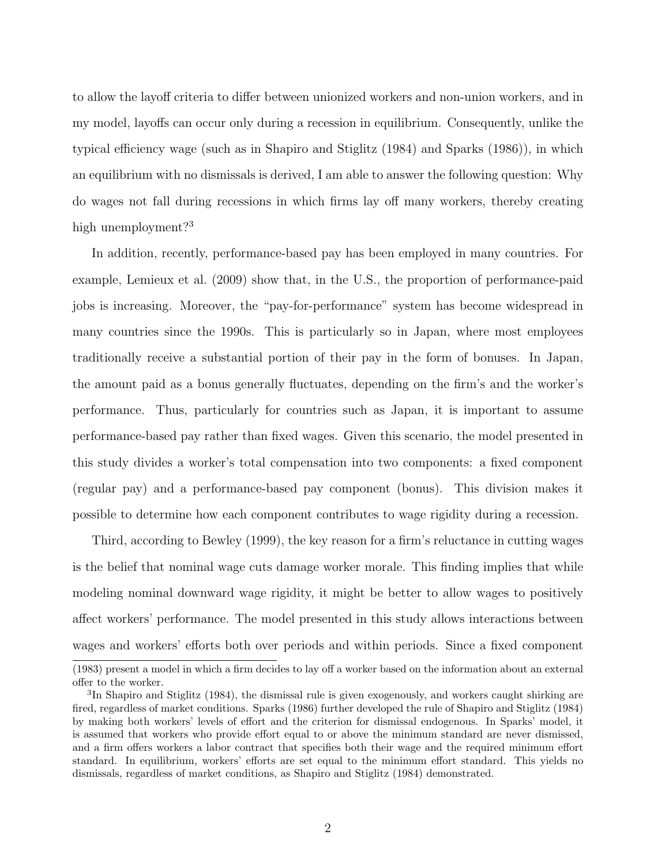to allow the layoff criteria to differ between unionized workers and non-union workers, and in my model, layoffs can occur only during a recession in equilibrium. Consequently, unlike the typical efficiency wage (such as in Shapiro and Stiglitz (1984) and Sparks (1986)), in which an equilibrium with no dismissals is derived, I am able to answer the following question: Why do wages not fall during recessions in which firms lay off many workers, thereby creating high unemployment?<sup>3</sup>

In addition, recently, performance-based pay has been employed in many countries. For example, Lemieux et al. (2009) show that, in the U.S., the proportion of performance-paid jobs is increasing. Moreover, the "pay-for-performance" system has become widespread in many countries since the 1990s. This is particularly so in Japan, where most employees traditionally receive a substantial portion of their pay in the form of bonuses. In Japan, the amount paid as a bonus generally fluctuates, depending on the firm's and the worker's performance. Thus, particularly for countries such as Japan, it is important to assume performance-based pay rather than fixed wages. Given this scenario, the model presented in this study divides a worker's total compensation into two components: a fixed component (regular pay) and a performance-based pay component (bonus). This division makes it possible to determine how each component contributes to wage rigidity during a recession.

Third, according to Bewley (1999), the key reason for a firm's reluctance in cutting wages is the belief that nominal wage cuts damage worker morale. This finding implies that while modeling nominal downward wage rigidity, it might be better to allow wages to positively affect workers' performance. The model presented in this study allows interactions between wages and workers' efforts both over periods and within periods. Since a fixed component

<sup>(1983)</sup> present a model in which a firm decides to lay off a worker based on the information about an external offer to the worker.

<sup>&</sup>lt;sup>3</sup>In Shapiro and Stiglitz (1984), the dismissal rule is given exogenously, and workers caught shirking are fired, regardless of market conditions. Sparks (1986) further developed the rule of Shapiro and Stiglitz (1984) by making both workers' levels of effort and the criterion for dismissal endogenous. In Sparks' model, it is assumed that workers who provide effort equal to or above the minimum standard are never dismissed, and a firm offers workers a labor contract that specifies both their wage and the required minimum effort standard. In equilibrium, workers' efforts are set equal to the minimum effort standard. This yields no dismissals, regardless of market conditions, as Shapiro and Stiglitz (1984) demonstrated.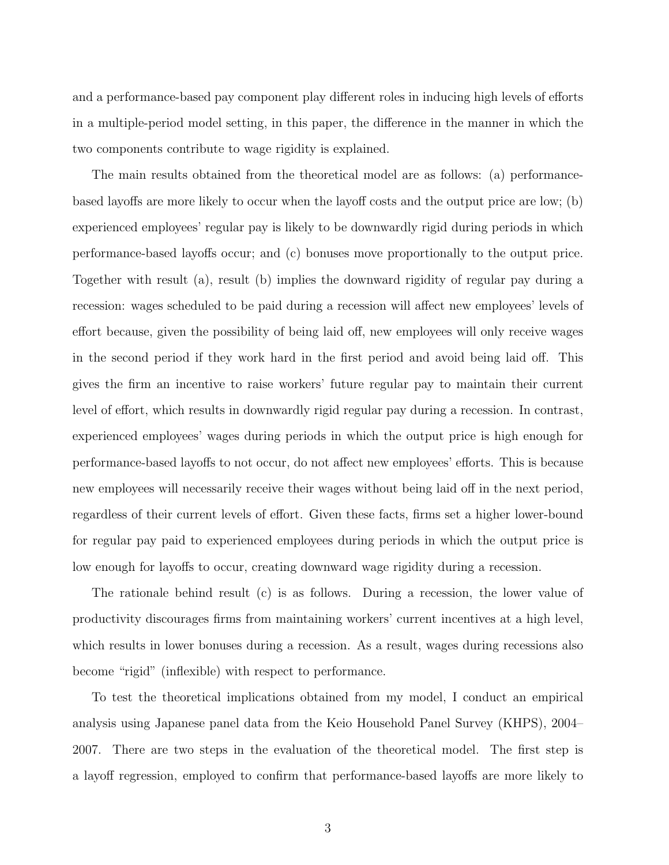and a performance-based pay component play different roles in inducing high levels of efforts in a multiple-period model setting, in this paper, the difference in the manner in which the two components contribute to wage rigidity is explained.

The main results obtained from the theoretical model are as follows: (a) performancebased layoffs are more likely to occur when the layoff costs and the output price are low; (b) experienced employees' regular pay is likely to be downwardly rigid during periods in which performance-based layoffs occur; and (c) bonuses move proportionally to the output price. Together with result (a), result (b) implies the downward rigidity of regular pay during a recession: wages scheduled to be paid during a recession will affect new employees' levels of effort because, given the possibility of being laid off, new employees will only receive wages in the second period if they work hard in the first period and avoid being laid off. This gives the firm an incentive to raise workers' future regular pay to maintain their current level of effort, which results in downwardly rigid regular pay during a recession. In contrast, experienced employees' wages during periods in which the output price is high enough for performance-based layoffs to not occur, do not affect new employees' efforts. This is because new employees will necessarily receive their wages without being laid off in the next period, regardless of their current levels of effort. Given these facts, firms set a higher lower-bound for regular pay paid to experienced employees during periods in which the output price is low enough for layoffs to occur, creating downward wage rigidity during a recession.

The rationale behind result (c) is as follows. During a recession, the lower value of productivity discourages firms from maintaining workers' current incentives at a high level, which results in lower bonuses during a recession. As a result, wages during recessions also become "rigid" (inflexible) with respect to performance.

To test the theoretical implications obtained from my model, I conduct an empirical analysis using Japanese panel data from the Keio Household Panel Survey (KHPS), 2004– 2007. There are two steps in the evaluation of the theoretical model. The first step is a layoff regression, employed to confirm that performance-based layoffs are more likely to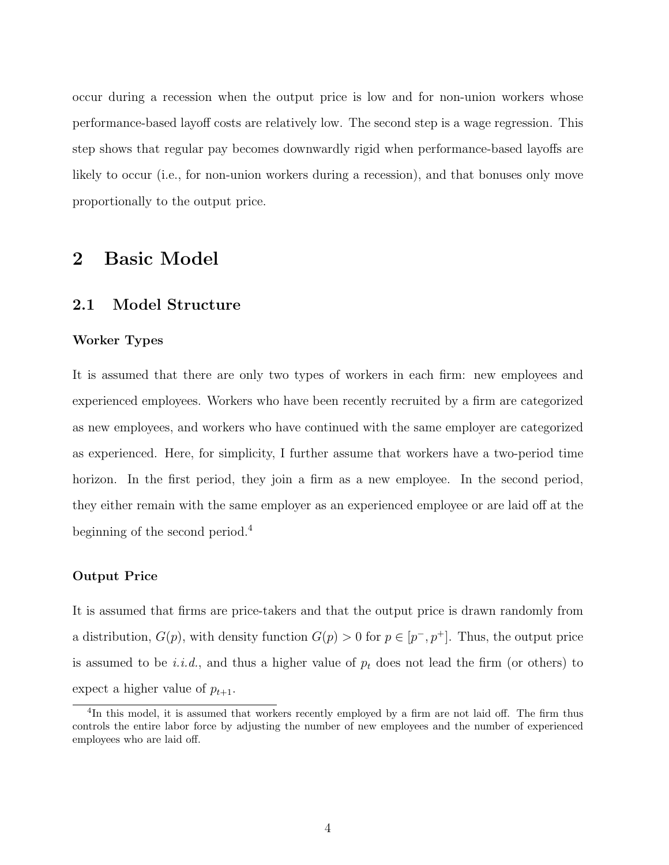occur during a recession when the output price is low and for non-union workers whose performance-based layoff costs are relatively low. The second step is a wage regression. This step shows that regular pay becomes downwardly rigid when performance-based layoffs are likely to occur (i.e., for non-union workers during a recession), and that bonuses only move proportionally to the output price.

# 2 Basic Model

### 2.1 Model Structure

#### Worker Types

It is assumed that there are only two types of workers in each firm: new employees and experienced employees. Workers who have been recently recruited by a firm are categorized as new employees, and workers who have continued with the same employer are categorized as experienced. Here, for simplicity, I further assume that workers have a two-period time horizon. In the first period, they join a firm as a new employee. In the second period, they either remain with the same employer as an experienced employee or are laid off at the beginning of the second period.<sup>4</sup>

#### Output Price

It is assumed that firms are price-takers and that the output price is drawn randomly from a distribution,  $G(p)$ , with density function  $G(p) > 0$  for  $p \in [p^-, p^+]$ . Thus, the output price is assumed to be *i.i.d.*, and thus a higher value of  $p_t$  does not lead the firm (or others) to expect a higher value of  $p_{t+1}$ .

<sup>&</sup>lt;sup>4</sup>In this model, it is assumed that workers recently employed by a firm are not laid off. The firm thus controls the entire labor force by adjusting the number of new employees and the number of experienced employees who are laid off.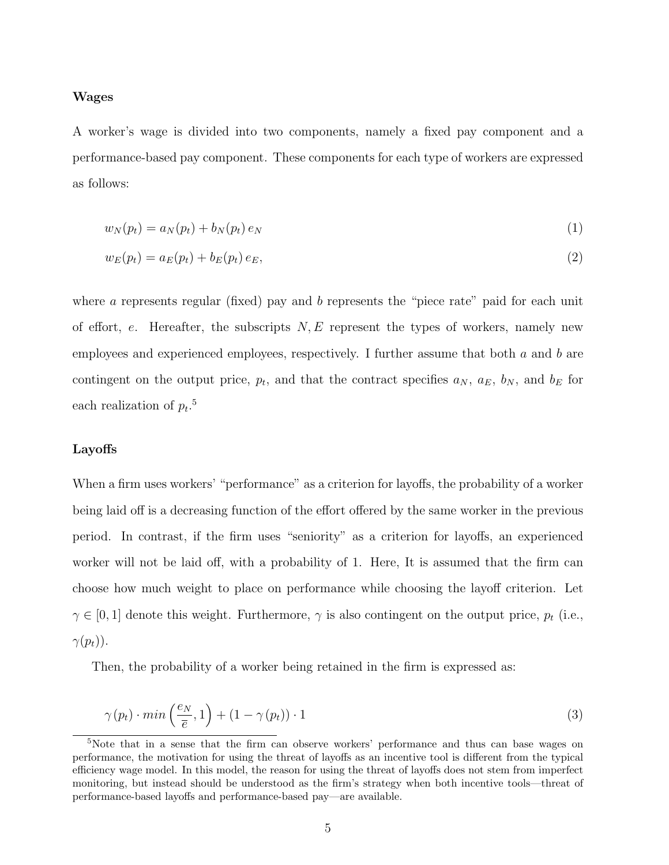#### Wages

A worker's wage is divided into two components, namely a fixed pay component and a performance-based pay component. These components for each type of workers are expressed as follows:

$$
w_N(p_t) = a_N(p_t) + b_N(p_t) e_N \tag{1}
$$

$$
w_E(p_t) = a_E(p_t) + b_E(p_t) e_E,
$$
\n(2)

where a represents regular (fixed) pay and  $b$  represents the "piece rate" paid for each unit of effort, e. Hereafter, the subscripts  $N, E$  represent the types of workers, namely new employees and experienced employees, respectively. I further assume that both a and b are contingent on the output price,  $p_t$ , and that the contract specifies  $a_N$ ,  $a_E$ ,  $b_N$ , and  $b_E$  for each realization of  $p_t$ .<sup>5</sup>

#### Layoffs

When a firm uses workers' "performance" as a criterion for layoffs, the probability of a worker being laid off is a decreasing function of the effort offered by the same worker in the previous period. In contrast, if the firm uses "seniority" as a criterion for layoffs, an experienced worker will not be laid off, with a probability of 1. Here, It is assumed that the firm can choose how much weight to place on performance while choosing the layoff criterion. Let  $\gamma \in [0, 1]$  denote this weight. Furthermore,  $\gamma$  is also contingent on the output price,  $p_t$  (i.e.,  $\gamma(p_t)$ ).

Then, the probability of a worker being retained in the firm is expressed as:

$$
\gamma(p_t) \cdot \min\left(\frac{e_N}{\overline{e}}, 1\right) + (1 - \gamma(p_t)) \cdot 1 \tag{3}
$$

<sup>&</sup>lt;sup>5</sup>Note that in a sense that the firm can observe workers' performance and thus can base wages on performance, the motivation for using the threat of layoffs as an incentive tool is different from the typical efficiency wage model. In this model, the reason for using the threat of layoffs does not stem from imperfect monitoring, but instead should be understood as the firm's strategy when both incentive tools—threat of performance-based layoffs and performance-based pay—are available.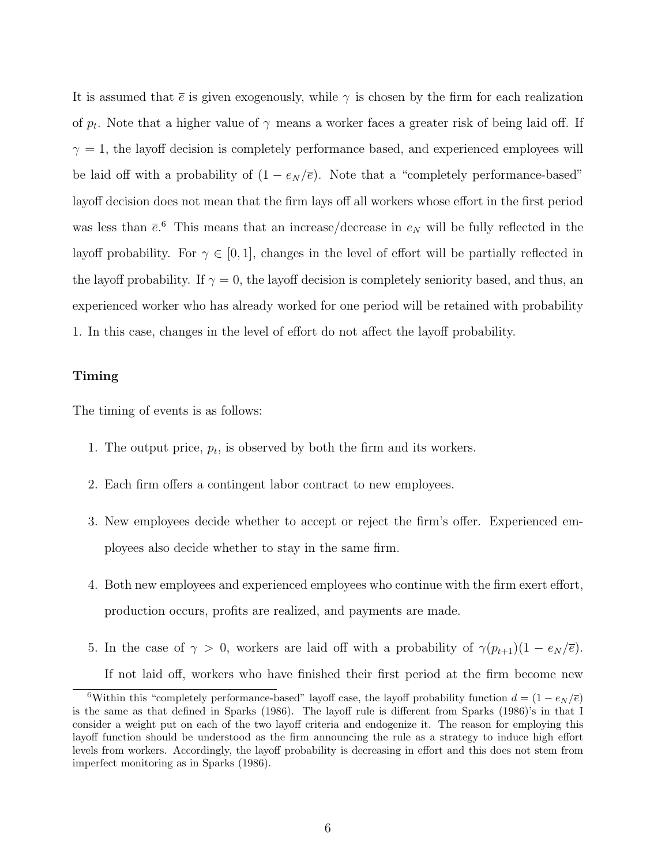It is assumed that  $\bar{e}$  is given exogenously, while  $\gamma$  is chosen by the firm for each realization of  $p_t$ . Note that a higher value of  $\gamma$  means a worker faces a greater risk of being laid off. If  $\gamma = 1$ , the layoff decision is completely performance based, and experienced employees will be laid off with a probability of  $(1 - e_N/\overline{e})$ . Note that a "completely performance-based" layoff decision does not mean that the firm lays off all workers whose effort in the first period was less than  $\bar{e}$ . This means that an increase/decrease in  $e_N$  will be fully reflected in the layoff probability. For  $\gamma \in [0, 1]$ , changes in the level of effort will be partially reflected in the layoff probability. If  $\gamma = 0$ , the layoff decision is completely seniority based, and thus, an experienced worker who has already worked for one period will be retained with probability 1. In this case, changes in the level of effort do not affect the layoff probability.

#### Timing

The timing of events is as follows:

- 1. The output price,  $p_t$ , is observed by both the firm and its workers.
- 2. Each firm offers a contingent labor contract to new employees.
- 3. New employees decide whether to accept or reject the firm's offer. Experienced employees also decide whether to stay in the same firm.
- 4. Both new employees and experienced employees who continue with the firm exert effort, production occurs, profits are realized, and payments are made.
- 5. In the case of  $\gamma > 0$ , workers are laid off with a probability of  $\gamma(p_{t+1})(1 e_N/\overline{e})$ . If not laid off, workers who have finished their first period at the firm become new

<sup>6</sup>Within this "completely performance-based" layoff case, the layoff probability function  $d = (1 - e_N/\bar{e})$ is the same as that defined in Sparks (1986). The layoff rule is different from Sparks (1986)'s in that I consider a weight put on each of the two layoff criteria and endogenize it. The reason for employing this layoff function should be understood as the firm announcing the rule as a strategy to induce high effort levels from workers. Accordingly, the layoff probability is decreasing in effort and this does not stem from imperfect monitoring as in Sparks (1986).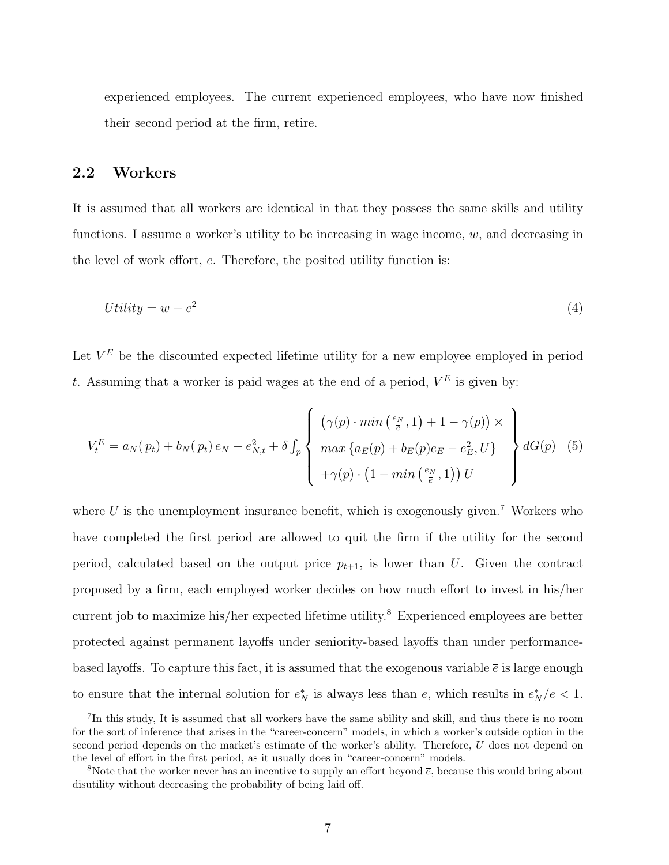experienced employees. The current experienced employees, who have now finished their second period at the firm, retire.

### 2.2 Workers

It is assumed that all workers are identical in that they possess the same skills and utility functions. I assume a worker's utility to be increasing in wage income,  $w$ , and decreasing in the level of work effort, e. Therefore, the posited utility function is:

$$
Utility = w - e^2 \tag{4}
$$

Let  $V^E$  be the discounted expected lifetime utility for a new employee employed in period t. Assuming that a worker is paid wages at the end of a period,  $V^E$  is given by:

$$
V_t^E = a_N(p_t) + b_N(p_t) e_N - e_{N,t}^2 + \delta \int_p \left\{ \begin{array}{l} \left( \gamma(p) \cdot \min\left(\frac{e_N}{\overline{e}}, 1\right) + 1 - \gamma(p) \right) \times \\ \max \left\{ a_E(p) + b_E(p) e_E - e_E^2, U \right\} \\ + \gamma(p) \cdot \left( 1 - \min\left(\frac{e_N}{\overline{e}}, 1\right) \right) U \end{array} \right\} dG(p) \quad (5)
$$

where U is the unemployment insurance benefit, which is exogenously given.<sup>7</sup> Workers who have completed the first period are allowed to quit the firm if the utility for the second period, calculated based on the output price  $p_{t+1}$ , is lower than U. Given the contract proposed by a firm, each employed worker decides on how much effort to invest in his/her current job to maximize his/her expected lifetime utility.<sup>8</sup> Experienced employees are better protected against permanent layoffs under seniority-based layoffs than under performancebased layoffs. To capture this fact, it is assumed that the exogenous variable  $\bar{e}$  is large enough to ensure that the internal solution for  $e_N^*$  is always less than  $\bar{e}$ , which results in  $e_N^*/\bar{e} < 1$ .

<sup>&</sup>lt;sup>7</sup>In this study, It is assumed that all workers have the same ability and skill, and thus there is no room for the sort of inference that arises in the "career-concern" models, in which a worker's outside option in the second period depends on the market's estimate of the worker's ability. Therefore, U does not depend on the level of effort in the first period, as it usually does in "career-concern" models.

<sup>&</sup>lt;sup>8</sup>Note that the worker never has an incentive to supply an effort beyond  $\bar{e}$ , because this would bring about disutility without decreasing the probability of being laid off.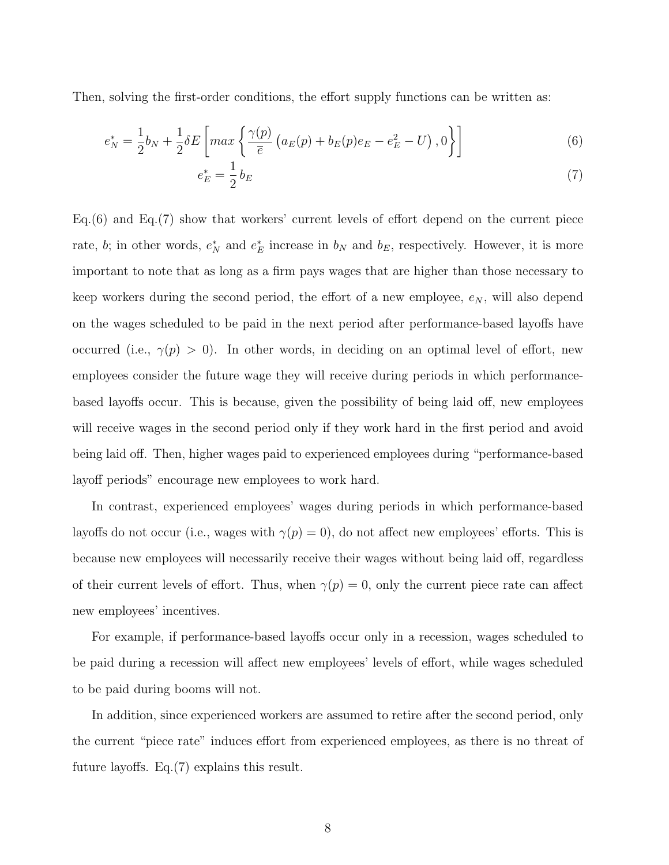Then, solving the first-order conditions, the effort supply functions can be written as:

$$
e_N^* = \frac{1}{2}b_N + \frac{1}{2}\delta E \left[ max \left\{ \frac{\gamma(p)}{\bar{e}} \left( a_E(p) + b_E(p)e_E - e_E^2 - U \right), 0 \right\} \right] \tag{6}
$$

$$
e_E^* = \frac{1}{2} b_E \tag{7}
$$

Eq.(6) and Eq.(7) show that workers' current levels of effort depend on the current piece rate, b; in other words,  $e_N^*$  and  $e_E^*$  increase in  $b_N$  and  $b_E$ , respectively. However, it is more important to note that as long as a firm pays wages that are higher than those necessary to keep workers during the second period, the effort of a new employee,  $e_N$ , will also depend on the wages scheduled to be paid in the next period after performance-based layoffs have occurred (i.e.,  $\gamma(p) > 0$ ). In other words, in deciding on an optimal level of effort, new employees consider the future wage they will receive during periods in which performancebased layoffs occur. This is because, given the possibility of being laid off, new employees will receive wages in the second period only if they work hard in the first period and avoid being laid off. Then, higher wages paid to experienced employees during "performance-based layoff periods" encourage new employees to work hard.

In contrast, experienced employees' wages during periods in which performance-based layoffs do not occur (i.e., wages with  $\gamma(p) = 0$ ), do not affect new employees' efforts. This is because new employees will necessarily receive their wages without being laid off, regardless of their current levels of effort. Thus, when  $\gamma(p) = 0$ , only the current piece rate can affect new employees' incentives.

For example, if performance-based layoffs occur only in a recession, wages scheduled to be paid during a recession will affect new employees' levels of effort, while wages scheduled to be paid during booms will not.

In addition, since experienced workers are assumed to retire after the second period, only the current "piece rate" induces effort from experienced employees, as there is no threat of future layoffs. Eq.(7) explains this result.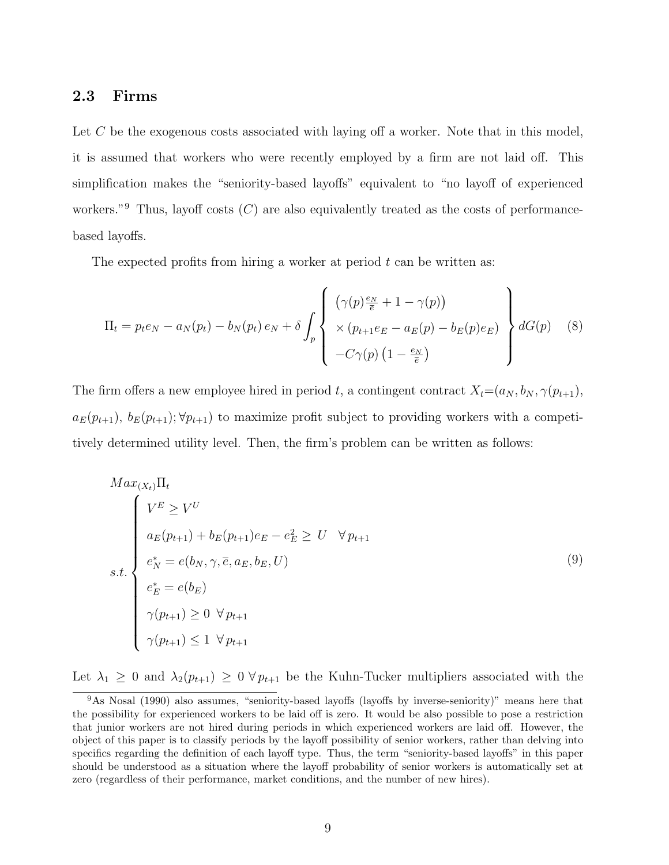### 2.3 Firms

Let C be the exogenous costs associated with laying off a worker. Note that in this model, it is assumed that workers who were recently employed by a firm are not laid off. This simplification makes the "seniority-based layoffs" equivalent to "no layoff of experienced workers."<sup>9</sup> Thus, layoff costs  $(C)$  are also equivalently treated as the costs of performancebased layoffs.

The expected profits from hiring a worker at period  $t$  can be written as:

$$
\Pi_t = p_t e_N - a_N(p_t) - b_N(p_t) e_N + \delta \int_p \left\{ \begin{array}{l} \left( \gamma(p) \frac{e_N}{\overline{e}} + 1 - \gamma(p) \right) \\ \times \left( p_{t+1} e_E - a_E(p) - b_E(p) e_E \right) \\ -C \gamma(p) \left( 1 - \frac{e_N}{\overline{e}} \right) \end{array} \right\} dG(p) \quad (8)
$$

The firm offers a new employee hired in period t, a contingent contract  $X_t=(a_N, b_N, \gamma(p_{t+1}),$  $a_E(p_{t+1}), b_E(p_{t+1}); \forall p_{t+1}$  to maximize profit subject to providing workers with a competitively determined utility level. Then, the firm's problem can be written as follows:

$$
Max_{(X_t)}\Pi_t
$$
\n
$$
w_{E}(p_{t+1}) + b_E(p_{t+1})e_E - e_E^2 \ge U \quad \forall p_{t+1}
$$
\n
$$
v_{N}^* = e(b_N, \gamma, \overline{e}, a_E, b_E, U)
$$
\n
$$
e_E^* = e(b_E)
$$
\n
$$
\gamma(p_{t+1}) \ge 0 \quad \forall p_{t+1}
$$
\n
$$
\gamma(p_{t+1}) \le 1 \quad \forall p_{t+1}
$$
\n(9)

Let  $\lambda_1 \geq 0$  and  $\lambda_2(p_{t+1}) \geq 0 \,\forall p_{t+1}$  be the Kuhn-Tucker multipliers associated with the

<sup>9</sup>As Nosal (1990) also assumes, "seniority-based layoffs (layoffs by inverse-seniority)" means here that the possibility for experienced workers to be laid off is zero. It would be also possible to pose a restriction that junior workers are not hired during periods in which experienced workers are laid off. However, the object of this paper is to classify periods by the layoff possibility of senior workers, rather than delving into specifics regarding the definition of each layoff type. Thus, the term "seniority-based layoffs" in this paper should be understood as a situation where the layoff probability of senior workers is automatically set at zero (regardless of their performance, market conditions, and the number of new hires).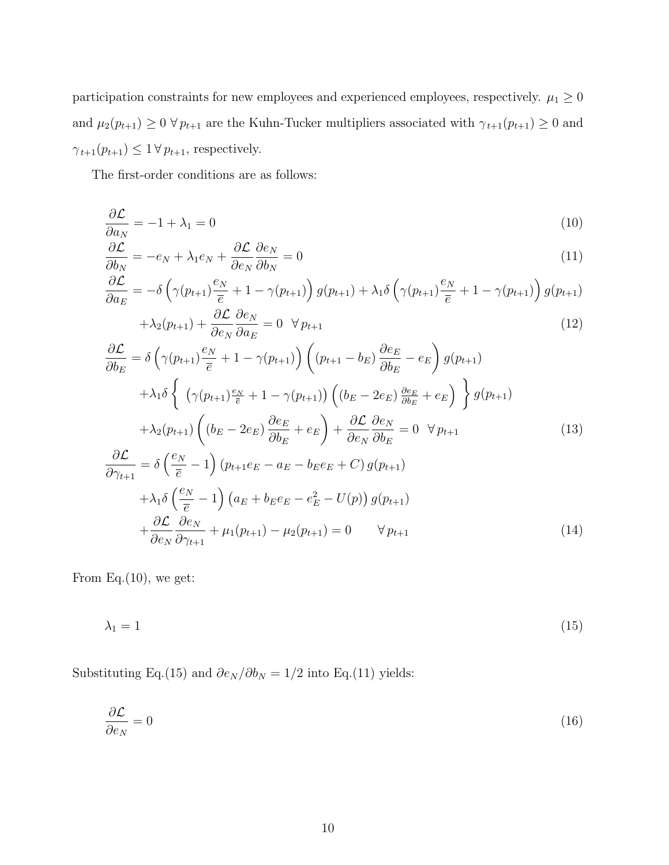participation constraints for new employees and experienced employees, respectively.  $\mu_1 \geq 0$ and  $\mu_2(p_{t+1}) \ge 0 \,\forall \, p_{t+1}$  are the Kuhn-Tucker multipliers associated with  $\gamma_{t+1}(p_{t+1}) \ge 0$  and  $\gamma_{t+1}(p_{t+1}) \leq 1 \, \forall \, p_{t+1},$  respectively.

The first-order conditions are as follows:

$$
\frac{\partial \mathcal{L}}{\partial a_N} = -1 + \lambda_1 = 0 \tag{10}
$$

$$
\frac{\partial \mathcal{L}}{\partial b_N} = -e_N + \lambda_1 e_N + \frac{\partial \mathcal{L}}{\partial e_N} \frac{\partial e_N}{\partial b_N} = 0 \tag{11}
$$

$$
\frac{\partial \mathcal{L}}{\partial a_E} = -\delta \left( \gamma(p_{t+1}) \frac{e_N}{\overline{e}} + 1 - \gamma(p_{t+1}) \right) g(p_{t+1}) + \lambda_1 \delta \left( \gamma(p_{t+1}) \frac{e_N}{\overline{e}} + 1 - \gamma(p_{t+1}) \right) g(p_{t+1}) + \lambda_2(p_{t+1}) + \frac{\partial \mathcal{L}}{\partial \overline{e}} \frac{\partial e_N}{\partial \overline{e}} = 0 \quad \forall \, p_{t+1} \tag{12}
$$

$$
\frac{\partial \mathcal{L}}{\partial b_E} = \delta \left( \gamma (p_{t+1}) \frac{e_N}{\overline{e}} + 1 - \gamma (p_{t+1}) \right) \left( (p_{t+1} - b_E) \frac{\partial e_E}{\partial b_E} - e_E \right) g(p_{t+1}) \n+ \lambda_1 \delta \left\{ \left( \gamma (p_{t+1}) \frac{e_N}{\overline{e}} + 1 - \gamma (p_{t+1}) \right) \left( (b_E - 2e_E) \frac{\partial e_E}{\partial b_E} + e_E \right) \right\} g(p_{t+1}) \n+ \lambda_2 (p_{t+1}) \left( (b_E - 2e_E) \frac{\partial e_E}{\partial b_E} + e_E \right) + \frac{\partial \mathcal{L}}{\partial e_N} \frac{\partial e_N}{\partial b_E} = 0 \ \forall p_{t+1} \n\frac{\partial \mathcal{L}}{\partial \gamma_{t+1}} = \delta \left( \frac{e_N}{\overline{e}} - 1 \right) (p_{t+1} e_E - a_E - b_E e_E + C) g(p_{t+1}) \n+ \lambda_1 \delta \left( \frac{e_N}{\overline{e}} - 1 \right) (a_E + b_E e_E - e_E^2 - U(p)) g(p_{t+1}) \n+ \frac{\partial \mathcal{L}}{\partial e_N} \frac{\partial e_N}{\partial \gamma_{t+1}} + \mu_1 (p_{t+1}) - \mu_2 (p_{t+1}) = 0 \ \forall p_{t+1} \tag{14}
$$

From Eq. $(10)$ , we get:

$$
\lambda_1 = 1 \tag{15}
$$

Substituting Eq.(15) and  $\partial e_N / \partial b_N = 1/2$  into Eq.(11) yields:

$$
\frac{\partial \mathcal{L}}{\partial e_N} = 0 \tag{16}
$$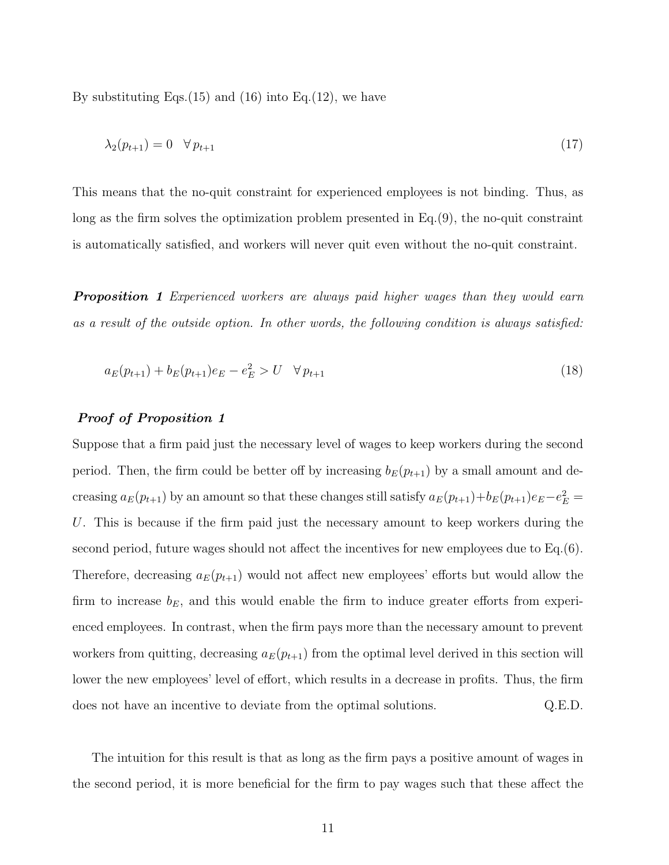By substituting Eqs.  $(15)$  and  $(16)$  into Eq.  $(12)$ , we have

$$
\lambda_2(p_{t+1}) = 0 \quad \forall \, p_{t+1} \tag{17}
$$

This means that the no-quit constraint for experienced employees is not binding. Thus, as long as the firm solves the optimization problem presented in Eq.(9), the no-quit constraint is automatically satisfied, and workers will never quit even without the no-quit constraint.

**Proposition 1** Experienced workers are always paid higher wages than they would earn as a result of the outside option. In other words, the following condition is always satisfied:

$$
a_E(p_{t+1}) + b_E(p_{t+1})e_E - e_E^2 > U \quad \forall \, p_{t+1} \tag{18}
$$

#### Proof of Proposition 1

Suppose that a firm paid just the necessary level of wages to keep workers during the second period. Then, the firm could be better off by increasing  $b_E(p_{t+1})$  by a small amount and decreasing  $a_E(p_{t+1})$  by an amount so that these changes still satisfy  $a_E(p_{t+1})+b_E(p_{t+1})e_E-e_E^2=$ U. This is because if the firm paid just the necessary amount to keep workers during the second period, future wages should not affect the incentives for new employees due to Eq.(6). Therefore, decreasing  $a_E(p_{t+1})$  would not affect new employees' efforts but would allow the firm to increase  $b_E$ , and this would enable the firm to induce greater efforts from experienced employees. In contrast, when the firm pays more than the necessary amount to prevent workers from quitting, decreasing  $a_E(p_{t+1})$  from the optimal level derived in this section will lower the new employees' level of effort, which results in a decrease in profits. Thus, the firm does not have an incentive to deviate from the optimal solutions. Q.E.D.

The intuition for this result is that as long as the firm pays a positive amount of wages in the second period, it is more beneficial for the firm to pay wages such that these affect the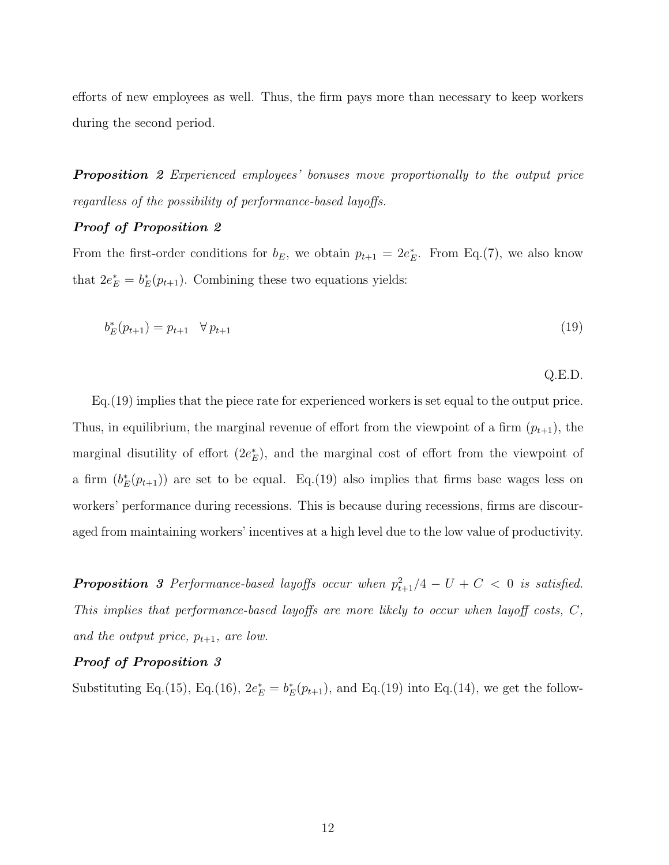efforts of new employees as well. Thus, the firm pays more than necessary to keep workers during the second period.

**Proposition** 2 Experienced employees' bonuses move proportionally to the output price regardless of the possibility of performance-based layoffs.

#### Proof of Proposition 2

From the first-order conditions for  $b_E$ , we obtain  $p_{t+1} = 2e_E^*$ . From Eq.(7), we also know that  $2e_E^* = b_E^*(p_{t+1})$ . Combining these two equations yields:

$$
b_E^*(p_{t+1}) = p_{t+1} \quad \forall \, p_{t+1} \tag{19}
$$

Q.E.D.

Eq.(19) implies that the piece rate for experienced workers is set equal to the output price. Thus, in equilibrium, the marginal revenue of effort from the viewpoint of a firm  $(p_{t+1})$ , the marginal disutility of effort  $(2e_E^*)$ , and the marginal cost of effort from the viewpoint of a firm  $(b_E^*(p_{t+1}))$  are set to be equal. Eq.(19) also implies that firms base wages less on workers' performance during recessions. This is because during recessions, firms are discouraged from maintaining workers' incentives at a high level due to the low value of productivity.

**Proposition** 3 Performance-based layoffs occur when  $p_{t+1}^2/4 - U + C < 0$  is satisfied. This implies that performance-based layoffs are more likely to occur when layoff costs, C, and the output price,  $p_{t+1}$ , are low.

#### Proof of Proposition 3

Substituting Eq.(15), Eq.(16),  $2e_E^* = b_E^*(p_{t+1})$ , and Eq.(19) into Eq.(14), we get the follow-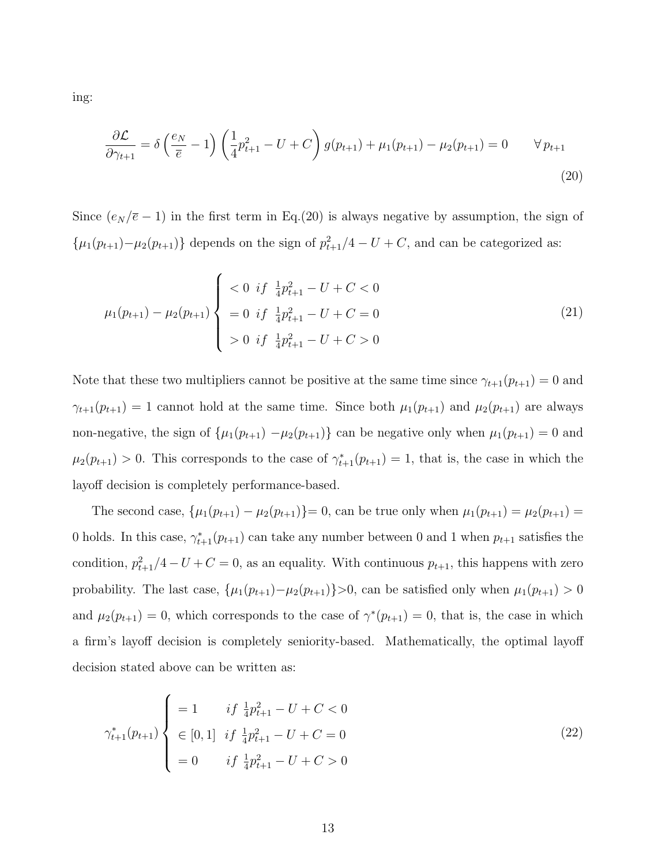ing:

$$
\frac{\partial \mathcal{L}}{\partial \gamma_{t+1}} = \delta \left( \frac{e_N}{\overline{e}} - 1 \right) \left( \frac{1}{4} p_{t+1}^2 - U + C \right) g(p_{t+1}) + \mu_1(p_{t+1}) - \mu_2(p_{t+1}) = 0 \qquad \forall p_{t+1}
$$
\n(20)

Since  $(e_N/\overline{e}-1)$  in the first term in Eq.(20) is always negative by assumption, the sign of  $\{\mu_1(p_{t+1})-\mu_2(p_{t+1})\}\$  depends on the sign of  $p_{t+1}^2/4-U+C$ , and can be categorized as:

$$
\mu_1(p_{t+1}) - \mu_2(p_{t+1}) \begin{cases}\n< 0 \text{ if } \frac{1}{4}p_{t+1}^2 - U + C < 0 \\
< 0 \text{ if } \frac{1}{4}p_{t+1}^2 - U + C = 0 \\
> 0 \text{ if } \frac{1}{4}p_{t+1}^2 - U + C > 0\n\end{cases} \tag{21}
$$

Note that these two multipliers cannot be positive at the same time since  $\gamma_{t+1}(p_{t+1}) = 0$  and  $\gamma_{t+1}(p_{t+1}) = 1$  cannot hold at the same time. Since both  $\mu_1(p_{t+1})$  and  $\mu_2(p_{t+1})$  are always non-negative, the sign of  $\{\mu_1(p_{t+1}) - \mu_2(p_{t+1})\}$  can be negative only when  $\mu_1(p_{t+1}) = 0$  and  $\mu_2(p_{t+1}) > 0$ . This corresponds to the case of  $\gamma_{t+1}^*(p_{t+1}) = 1$ , that is, the case in which the layoff decision is completely performance-based.

The second case,  $\{\mu_1(p_{t+1}) - \mu_2(p_{t+1})\} = 0$ , can be true only when  $\mu_1(p_{t+1}) = \mu_2(p_{t+1}) =$ 0 holds. In this case,  $\gamma_{t+1}^*(p_{t+1})$  can take any number between 0 and 1 when  $p_{t+1}$  satisfies the condition,  $p_{t+1}^2/4-U+C=0$ , as an equality. With continuous  $p_{t+1}$ , this happens with zero probability. The last case,  $\{\mu_1(p_{t+1})-\mu_2(p_{t+1})\}>0$ , can be satisfied only when  $\mu_1(p_{t+1})>0$ and  $\mu_2(p_{t+1}) = 0$ , which corresponds to the case of  $\gamma^*(p_{t+1}) = 0$ , that is, the case in which a firm's layoff decision is completely seniority-based. Mathematically, the optimal layoff decision stated above can be written as:

$$
\gamma_{t+1}^*(p_{t+1}) \begin{cases}\n= 1 & if \frac{1}{4}p_{t+1}^2 - U + C < 0 \\
\in [0, 1] & if \frac{1}{4}p_{t+1}^2 - U + C = 0 \\
= 0 & if \frac{1}{4}p_{t+1}^2 - U + C > 0\n\end{cases}\n\tag{22}
$$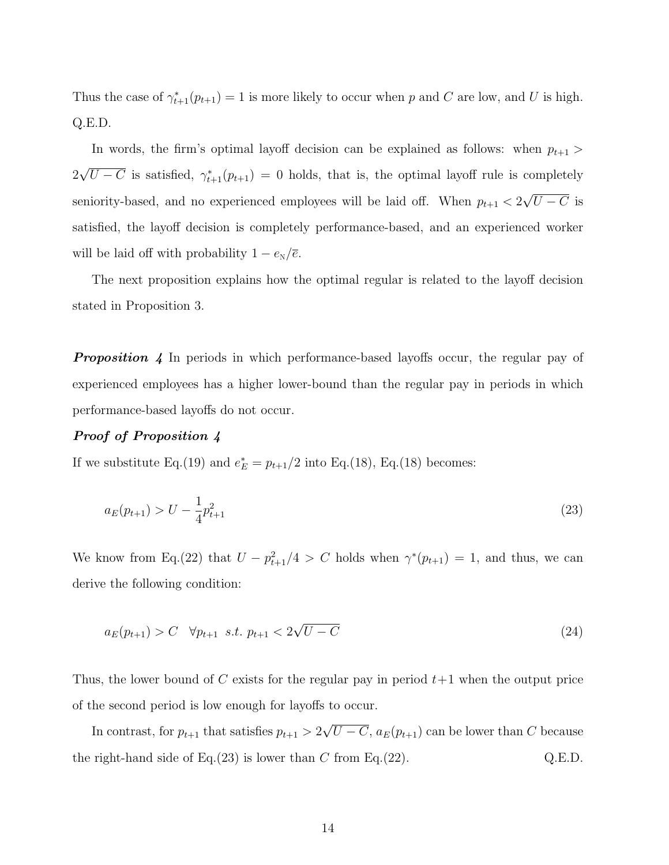Thus the case of  $\gamma_{t+1}^*(p_{t+1}) = 1$  is more likely to occur when p and C are low, and U is high. Q.E.D.

In words, the firm's optimal layoff decision can be explained as follows: when  $p_{t+1}$ 2 √  $\overline{U-C}$  is satisfied,  $\gamma_{t+1}^*(p_{t+1})=0$  holds, that is, the optimal layoff rule is completely seniority-based, and no experienced employees will be laid off. When  $p_{t+1} < 2$ √  $U - C$  is satisfied, the layoff decision is completely performance-based, and an experienced worker will be laid off with probability  $1 - e_N/\overline{e}$ .

The next proposition explains how the optimal regular is related to the layoff decision stated in Proposition 3.

**Proposition 4** In periods in which performance-based layoffs occur, the regular pay of experienced employees has a higher lower-bound than the regular pay in periods in which performance-based layoffs do not occur.

#### Proof of Proposition 4

If we substitute Eq.(19) and  $e_E^* = p_{t+1}/2$  into Eq.(18), Eq.(18) becomes:

$$
a_E(p_{t+1}) > U - \frac{1}{4}p_{t+1}^2
$$
\n(23)

We know from Eq.(22) that  $U - p_{t+1}^2/4 > C$  holds when  $\gamma^*(p_{t+1}) = 1$ , and thus, we can derive the following condition:

$$
a_E(p_{t+1}) > C \quad \forall p_{t+1} \ s.t. \ p_{t+1} < 2\sqrt{U - C} \tag{24}
$$

Thus, the lower bound of C exists for the regular pay in period  $t+1$  when the output price of the second period is low enough for layoffs to occur.

In contrast, for  $p_{t+1}$  that satisfies  $p_{t+1} > 2$ √  $U - C$ ,  $a_E(p_{t+1})$  can be lower than C because the right-hand side of Eq.(23) is lower than C from Eq.(22).  $Q.E.D.$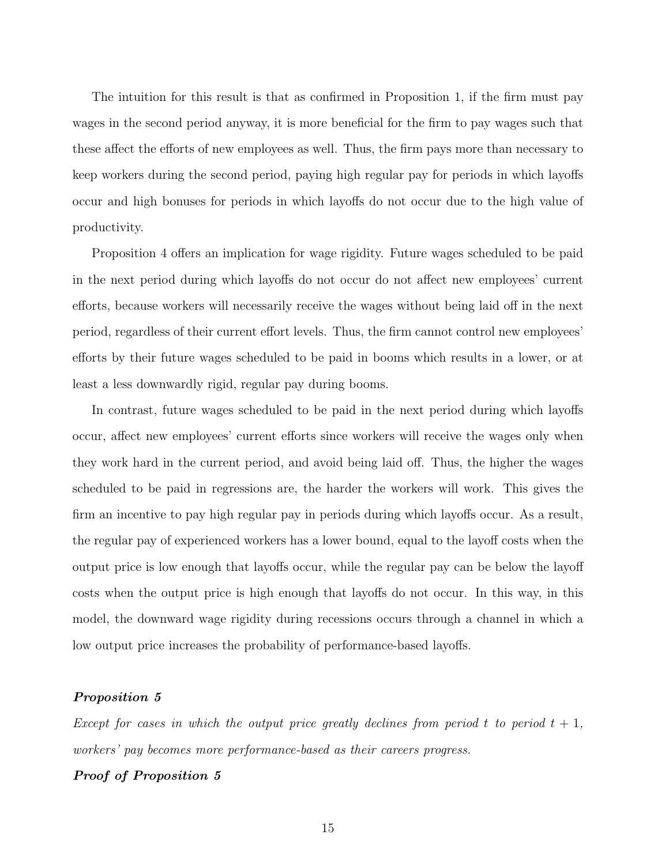The intuition for this result is that as confirmed in Proposition 1, if the firm must pay wages in the second period anyway, it is more beneficial for the firm to pay wages such that these affect the efforts of new employees as well. Thus, the firm pays more than necessary to keep workers during the second period, paying high regular pay for periods in which layoffs occur and high bonuses for periods in which layoffs do not occur due to the high value of productivity.

Proposition 4 offers an implication for wage rigidity. Future wages scheduled to be paid in the next period during which layoffs do not occur do not affect new employees' current efforts, because workers will necessarily receive the wages without being laid off in the next period, regardless of their current effort levels. Thus, the firm cannot control new employees' efforts by their future wages scheduled to be paid in booms which results in a lower, or at least a less downwardly rigid, regular pay during booms.

In contrast, future wages scheduled to be paid in the next period during which layoffs occur, affect new employees' current efforts since workers will receive the wages only when they work hard in the current period, and avoid being laid off. Thus, the higher the wages scheduled to be paid in regressions are, the harder the workers will work. This gives the firm an incentive to pay high regular pay in periods during which layoffs occur. As a result, the regular pay of experienced workers has a lower bound, equal to the layoff costs when the output price is low enough that layoffs occur, while the regular pay can be below the layoff costs when the output price is high enough that layoffs do not occur. In this way, in this model, the downward wage rigidity during recessions occurs through a channel in which a low output price increases the probability of performance-based layoffs.

#### Proposition 5

Except for cases in which the output price greatly declines from period t to period  $t + 1$ , workers' pay becomes more performance-based as their careers progress.

#### Proof of Proposition 5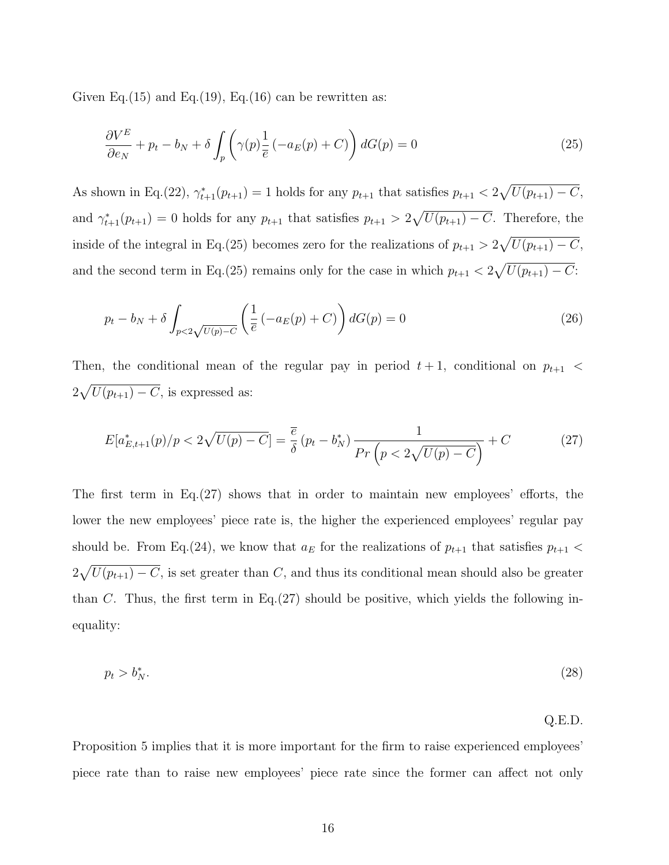Given Eq.(15) and Eq.(19), Eq.(16) can be rewritten as:

$$
\frac{\partial V^E}{\partial e_N} + p_t - b_N + \delta \int_p \left( \gamma(p) \frac{1}{\overline{e}} \left( -a_E(p) + C \right) \right) dG(p) = 0 \tag{25}
$$

As shown in Eq.(22),  $\gamma_{t+1}^*(p_{t+1}) = 1$  holds for any  $p_{t+1}$  that satisfies  $p_{t+1} < 2\sqrt{U(p_{t+1}) - C}$ , and  $\gamma_{t+1}^*(p_{t+1}) = 0$  holds for any  $p_{t+1}$  that satisfies  $p_{t+1} > 2\sqrt{U(p_{t+1}) - C}$ . Therefore, the inside of the integral in Eq.(25) becomes zero for the realizations of  $p_{t+1} > 2\sqrt{U(p_{t+1}) - C}$ , and the second term in Eq.(25) remains only for the case in which  $p_{t+1} < 2\sqrt{U(p_{t+1}) - C}$ :

$$
p_t - b_N + \delta \int_{p < 2\sqrt{U(p) - C}} \left( \frac{1}{\overline{e}} \left( -a_E(p) + C \right) \right) dG(p) = 0 \tag{26}
$$

Then, the conditional mean of the regular pay in period  $t + 1$ , conditional on  $p_{t+1}$  <  $2\sqrt{U(p_{t+1})-C}$ , is expressed as:

$$
E[a_{E,t+1}^{*}(p)/p < 2\sqrt{U(p) - C}] = \frac{\overline{e}}{\delta} \left( p_t - b_N^* \right) \frac{1}{Pr\left( p < 2\sqrt{U(p) - C} \right)} + C \tag{27}
$$

The first term in Eq.(27) shows that in order to maintain new employees' efforts, the lower the new employees' piece rate is, the higher the experienced employees' regular pay should be. From Eq.(24), we know that  $a_E$  for the realizations of  $p_{t+1}$  that satisfies  $p_{t+1}$  <  $2\sqrt{U(p_{t+1})-C}$ , is set greater than C, and thus its conditional mean should also be greater than  $C$ . Thus, the first term in Eq.(27) should be positive, which yields the following inequality:

$$
p_t > b_N^*.\tag{28}
$$

Q.E.D.

Proposition 5 implies that it is more important for the firm to raise experienced employees' piece rate than to raise new employees' piece rate since the former can affect not only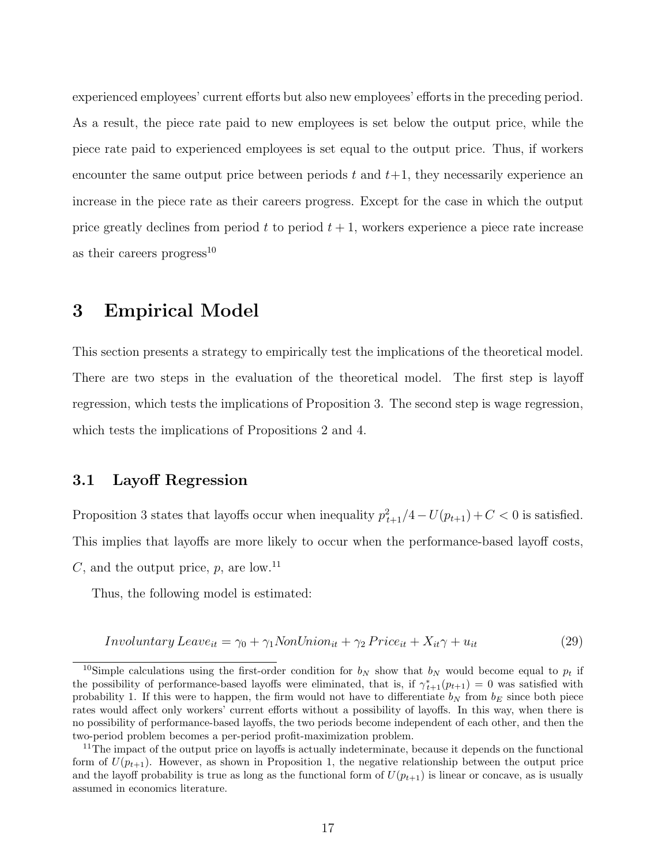experienced employees' current efforts but also new employees' efforts in the preceding period. As a result, the piece rate paid to new employees is set below the output price, while the piece rate paid to experienced employees is set equal to the output price. Thus, if workers encounter the same output price between periods t and  $t+1$ , they necessarily experience an increase in the piece rate as their careers progress. Except for the case in which the output price greatly declines from period  $t$  to period  $t + 1$ , workers experience a piece rate increase as their careers progress<sup>10</sup>

# 3 Empirical Model

This section presents a strategy to empirically test the implications of the theoretical model. There are two steps in the evaluation of the theoretical model. The first step is layoff regression, which tests the implications of Proposition 3. The second step is wage regression, which tests the implications of Propositions 2 and 4.

## 3.1 Layoff Regression

Proposition 3 states that layoffs occur when inequality  $p_{t+1}^2/4-U(p_{t+1})+C<0$  is satisfied. This implies that layoffs are more likely to occur when the performance-based layoff costs, C, and the output price,  $p$ , are low.<sup>11</sup>

Thus, the following model is estimated:

$$
Involuntary\,Eave_{it} = \gamma_0 + \gamma_1 NonUnion_{it} + \gamma_2 Price_{it} + X_{it} \gamma + u_{it}
$$
\n
$$
(29)
$$

<sup>&</sup>lt;sup>10</sup>Simple calculations using the first-order condition for  $b_N$  show that  $b_N$  would become equal to  $p_t$  if the possibility of performance-based layoffs were eliminated, that is, if  $\gamma_{t+1}^*(p_{t+1}) = 0$  was satisfied with probability 1. If this were to happen, the firm would not have to differentiate  $b_N$  from  $b_E$  since both piece rates would affect only workers' current efforts without a possibility of layoffs. In this way, when there is no possibility of performance-based layoffs, the two periods become independent of each other, and then the two-period problem becomes a per-period profit-maximization problem.

<sup>&</sup>lt;sup>11</sup>The impact of the output price on layoffs is actually indeterminate, because it depends on the functional form of  $U(p_{t+1})$ . However, as shown in Proposition 1, the negative relationship between the output price and the layoff probability is true as long as the functional form of  $U(p_{t+1})$  is linear or concave, as is usually assumed in economics literature.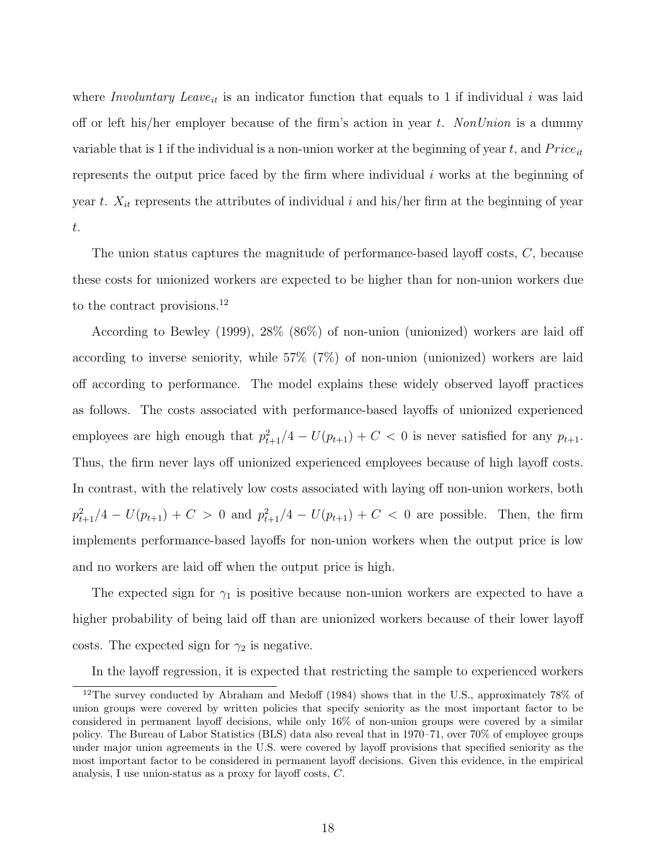where *Involuntary Leave<sub>it</sub>* is an indicator function that equals to 1 if individual i was laid off or left his/her employer because of the firm's action in year t. NonUnion is a dummy variable that is 1 if the individual is a non-union worker at the beginning of year t, and  $Price_{it}$ represents the output price faced by the firm where individual  $i$  works at the beginning of year t.  $X_{it}$  represents the attributes of individual i and his/her firm at the beginning of year t.

The union status captures the magnitude of performance-based layoff costs, C, because these costs for unionized workers are expected to be higher than for non-union workers due to the contract provisions.<sup>12</sup>

According to Bewley (1999), 28% (86%) of non-union (unionized) workers are laid off according to inverse seniority, while 57% (7%) of non-union (unionized) workers are laid off according to performance. The model explains these widely observed layoff practices as follows. The costs associated with performance-based layoffs of unionized experienced employees are high enough that  $p_{t+1}^2/4 - U(p_{t+1}) + C < 0$  is never satisfied for any  $p_{t+1}$ . Thus, the firm never lays off unionized experienced employees because of high layoff costs. In contrast, with the relatively low costs associated with laying off non-union workers, both  $p_{t+1}^2/4 - U(p_{t+1}) + C > 0$  and  $p_{t+1}^2/4 - U(p_{t+1}) + C < 0$  are possible. Then, the firm implements performance-based layoffs for non-union workers when the output price is low and no workers are laid off when the output price is high.

The expected sign for  $\gamma_1$  is positive because non-union workers are expected to have a higher probability of being laid off than are unionized workers because of their lower layoff costs. The expected sign for  $\gamma_2$  is negative.

In the layoff regression, it is expected that restricting the sample to experienced workers

<sup>12</sup>The survey conducted by Abraham and Medoff (1984) shows that in the U.S., approximately 78% of union groups were covered by written policies that specify seniority as the most important factor to be considered in permanent layoff decisions, while only 16% of non-union groups were covered by a similar policy. The Bureau of Labor Statistics (BLS) data also reveal that in 1970–71, over 70% of employee groups under major union agreements in the U.S. were covered by layoff provisions that specified seniority as the most important factor to be considered in permanent layoff decisions. Given this evidence, in the empirical analysis, I use union-status as a proxy for layoff costs, C.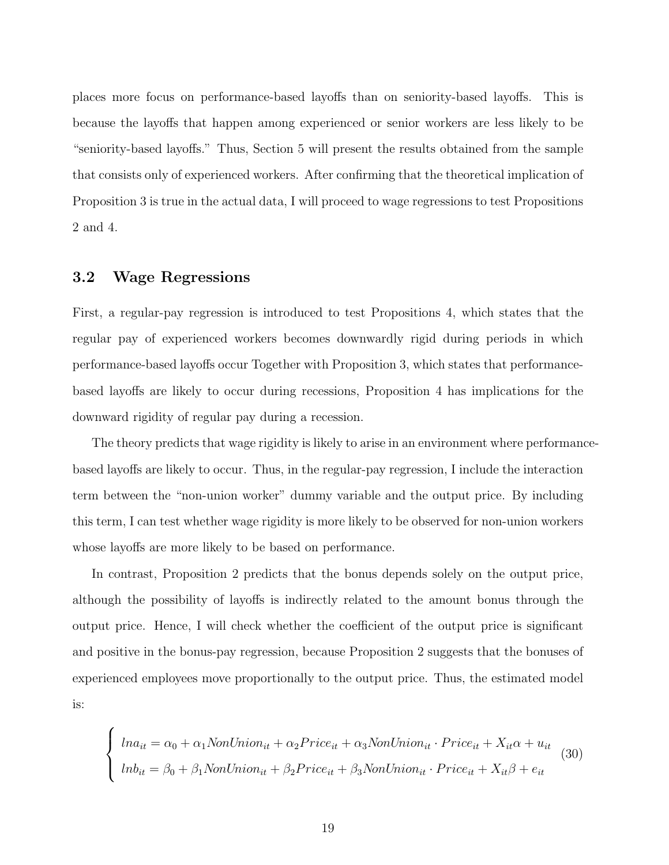places more focus on performance-based layoffs than on seniority-based layoffs. This is because the layoffs that happen among experienced or senior workers are less likely to be "seniority-based layoffs." Thus, Section 5 will present the results obtained from the sample that consists only of experienced workers. After confirming that the theoretical implication of Proposition 3 is true in the actual data, I will proceed to wage regressions to test Propositions 2 and 4.

### 3.2 Wage Regressions

First, a regular-pay regression is introduced to test Propositions 4, which states that the regular pay of experienced workers becomes downwardly rigid during periods in which performance-based layoffs occur Together with Proposition 3, which states that performancebased layoffs are likely to occur during recessions, Proposition 4 has implications for the downward rigidity of regular pay during a recession.

The theory predicts that wage rigidity is likely to arise in an environment where performancebased layoffs are likely to occur. Thus, in the regular-pay regression, I include the interaction term between the "non-union worker" dummy variable and the output price. By including this term, I can test whether wage rigidity is more likely to be observed for non-union workers whose layoffs are more likely to be based on performance.

In contrast, Proposition 2 predicts that the bonus depends solely on the output price, although the possibility of layoffs is indirectly related to the amount bonus through the output price. Hence, I will check whether the coefficient of the output price is significant and positive in the bonus-pay regression, because Proposition 2 suggests that the bonuses of experienced employees move proportionally to the output price. Thus, the estimated model is:

$$
\begin{cases}\n\ln a_{it} = \alpha_0 + \alpha_1 \text{NonUnion}_{it} + \alpha_2 \text{Price}_{it} + \alpha_3 \text{NonUnion}_{it} \cdot \text{Price}_{it} + X_{it}\alpha + u_{it} \\
\ln b_{it} = \beta_0 + \beta_1 \text{NonUnion}_{it} + \beta_2 \text{Price}_{it} + \beta_3 \text{NonUnion}_{it} \cdot \text{Price}_{it} + X_{it}\beta + e_{it}\n\end{cases}
$$
\n(30)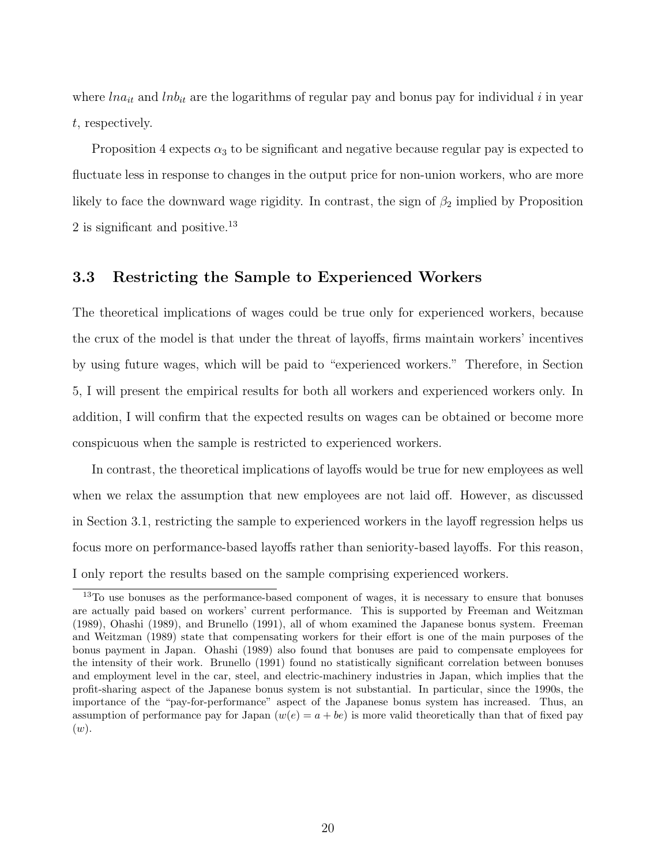where  $ln a_{it}$  and  $ln b_{it}$  are the logarithms of regular pay and bonus pay for individual i in year t, respectively.

Proposition 4 expects  $\alpha_3$  to be significant and negative because regular pay is expected to fluctuate less in response to changes in the output price for non-union workers, who are more likely to face the downward wage rigidity. In contrast, the sign of  $\beta_2$  implied by Proposition 2 is significant and positive.<sup>13</sup>

### 3.3 Restricting the Sample to Experienced Workers

The theoretical implications of wages could be true only for experienced workers, because the crux of the model is that under the threat of layoffs, firms maintain workers' incentives by using future wages, which will be paid to "experienced workers." Therefore, in Section 5, I will present the empirical results for both all workers and experienced workers only. In addition, I will confirm that the expected results on wages can be obtained or become more conspicuous when the sample is restricted to experienced workers.

In contrast, the theoretical implications of layoffs would be true for new employees as well when we relax the assumption that new employees are not laid off. However, as discussed in Section 3.1, restricting the sample to experienced workers in the layoff regression helps us focus more on performance-based layoffs rather than seniority-based layoffs. For this reason, I only report the results based on the sample comprising experienced workers.

<sup>13</sup>To use bonuses as the performance-based component of wages, it is necessary to ensure that bonuses are actually paid based on workers' current performance. This is supported by Freeman and Weitzman (1989), Ohashi (1989), and Brunello (1991), all of whom examined the Japanese bonus system. Freeman and Weitzman (1989) state that compensating workers for their effort is one of the main purposes of the bonus payment in Japan. Ohashi (1989) also found that bonuses are paid to compensate employees for the intensity of their work. Brunello (1991) found no statistically significant correlation between bonuses and employment level in the car, steel, and electric-machinery industries in Japan, which implies that the profit-sharing aspect of the Japanese bonus system is not substantial. In particular, since the 1990s, the importance of the "pay-for-performance" aspect of the Japanese bonus system has increased. Thus, an assumption of performance pay for Japan  $(w(e) = a + be)$  is more valid theoretically than that of fixed pay  $(w).$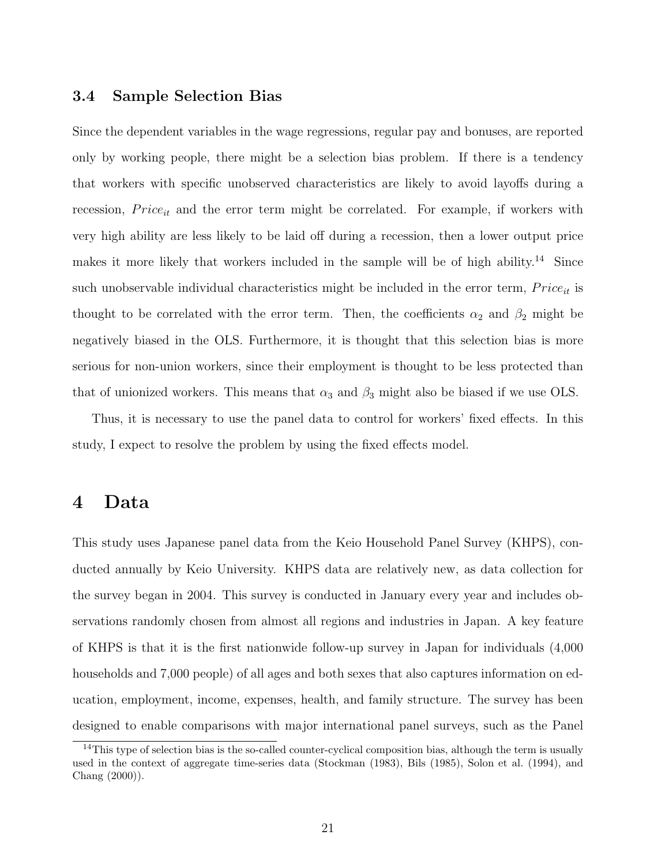### 3.4 Sample Selection Bias

Since the dependent variables in the wage regressions, regular pay and bonuses, are reported only by working people, there might be a selection bias problem. If there is a tendency that workers with specific unobserved characteristics are likely to avoid layoffs during a recession,  $Price_{it}$  and the error term might be correlated. For example, if workers with very high ability are less likely to be laid off during a recession, then a lower output price makes it more likely that workers included in the sample will be of high ability.<sup>14</sup> Since such unobservable individual characteristics might be included in the error term,  $Price_{it}$  is thought to be correlated with the error term. Then, the coefficients  $\alpha_2$  and  $\beta_2$  might be negatively biased in the OLS. Furthermore, it is thought that this selection bias is more serious for non-union workers, since their employment is thought to be less protected than that of unionized workers. This means that  $\alpha_3$  and  $\beta_3$  might also be biased if we use OLS.

Thus, it is necessary to use the panel data to control for workers' fixed effects. In this study, I expect to resolve the problem by using the fixed effects model.

# 4 Data

This study uses Japanese panel data from the Keio Household Panel Survey (KHPS), conducted annually by Keio University. KHPS data are relatively new, as data collection for the survey began in 2004. This survey is conducted in January every year and includes observations randomly chosen from almost all regions and industries in Japan. A key feature of KHPS is that it is the first nationwide follow-up survey in Japan for individuals (4,000 households and 7,000 people) of all ages and both sexes that also captures information on education, employment, income, expenses, health, and family structure. The survey has been designed to enable comparisons with major international panel surveys, such as the Panel

<sup>&</sup>lt;sup>14</sup>This type of selection bias is the so-called counter-cyclical composition bias, although the term is usually used in the context of aggregate time-series data (Stockman (1983), Bils (1985), Solon et al. (1994), and Chang (2000)).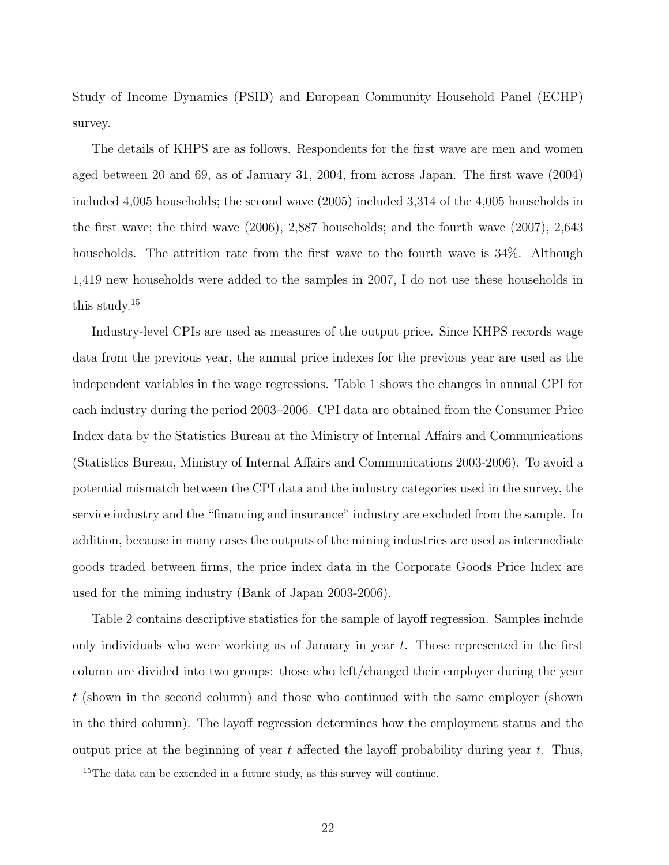Study of Income Dynamics (PSID) and European Community Household Panel (ECHP) survey.

The details of KHPS are as follows. Respondents for the first wave are men and women aged between 20 and 69, as of January 31, 2004, from across Japan. The first wave (2004) included 4,005 households; the second wave (2005) included 3,314 of the 4,005 households in the first wave; the third wave (2006), 2,887 households; and the fourth wave (2007), 2,643 households. The attrition rate from the first wave to the fourth wave is 34%. Although 1,419 new households were added to the samples in 2007, I do not use these households in this study.<sup>15</sup>

Industry-level CPIs are used as measures of the output price. Since KHPS records wage data from the previous year, the annual price indexes for the previous year are used as the independent variables in the wage regressions. Table 1 shows the changes in annual CPI for each industry during the period 2003–2006. CPI data are obtained from the Consumer Price Index data by the Statistics Bureau at the Ministry of Internal Affairs and Communications (Statistics Bureau, Ministry of Internal Affairs and Communications 2003-2006). To avoid a potential mismatch between the CPI data and the industry categories used in the survey, the service industry and the "financing and insurance" industry are excluded from the sample. In addition, because in many cases the outputs of the mining industries are used as intermediate goods traded between firms, the price index data in the Corporate Goods Price Index are used for the mining industry (Bank of Japan 2003-2006).

Table 2 contains descriptive statistics for the sample of layoff regression. Samples include only individuals who were working as of January in year t. Those represented in the first column are divided into two groups: those who left/changed their employer during the year t (shown in the second column) and those who continued with the same employer (shown in the third column). The layoff regression determines how the employment status and the output price at the beginning of year  $t$  affected the layoff probability during year  $t$ . Thus,

<sup>&</sup>lt;sup>15</sup>The data can be extended in a future study, as this survey will continue.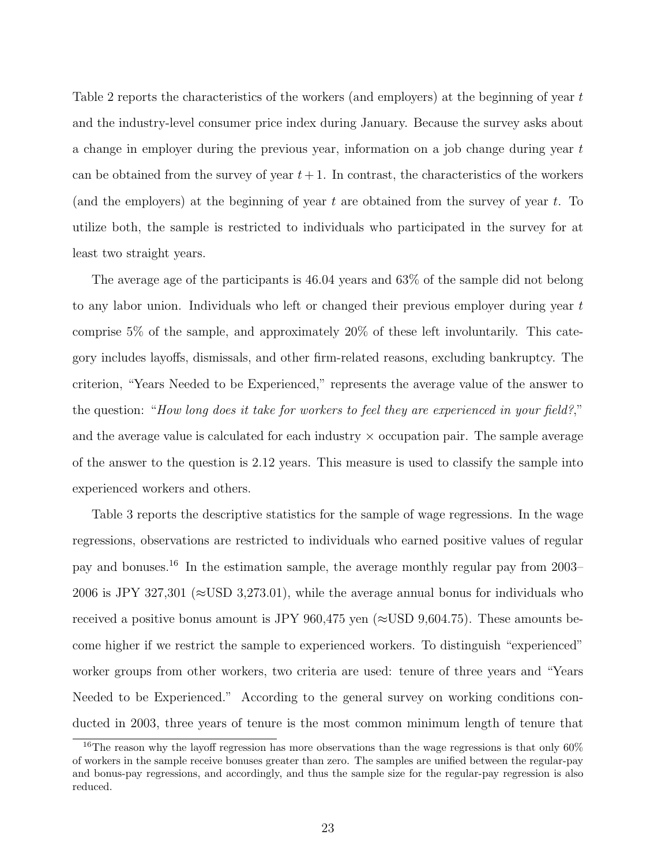Table 2 reports the characteristics of the workers (and employers) at the beginning of year  $t$ and the industry-level consumer price index during January. Because the survey asks about a change in employer during the previous year, information on a job change during year t can be obtained from the survey of year  $t + 1$ . In contrast, the characteristics of the workers (and the employers) at the beginning of year t are obtained from the survey of year t. To utilize both, the sample is restricted to individuals who participated in the survey for at least two straight years.

The average age of the participants is 46.04 years and 63% of the sample did not belong to any labor union. Individuals who left or changed their previous employer during year  $t$ comprise 5% of the sample, and approximately 20% of these left involuntarily. This category includes layoffs, dismissals, and other firm-related reasons, excluding bankruptcy. The criterion, "Years Needed to be Experienced," represents the average value of the answer to the question: "How long does it take for workers to feel they are experienced in your field?," and the average value is calculated for each industry  $\times$  occupation pair. The sample average of the answer to the question is 2.12 years. This measure is used to classify the sample into experienced workers and others.

Table 3 reports the descriptive statistics for the sample of wage regressions. In the wage regressions, observations are restricted to individuals who earned positive values of regular pay and bonuses.<sup>16</sup> In the estimation sample, the average monthly regular pay from 2003– 2006 is JPY 327,301 ( $\approx$ USD 3,273.01), while the average annual bonus for individuals who received a positive bonus amount is JPY 960,475 yen ( $\approx$ USD 9,604.75). These amounts become higher if we restrict the sample to experienced workers. To distinguish "experienced" worker groups from other workers, two criteria are used: tenure of three years and "Years Needed to be Experienced." According to the general survey on working conditions conducted in 2003, three years of tenure is the most common minimum length of tenure that

<sup>&</sup>lt;sup>16</sup>The reason why the layoff regression has more observations than the wage regressions is that only  $60\%$ of workers in the sample receive bonuses greater than zero. The samples are unified between the regular-pay and bonus-pay regressions, and accordingly, and thus the sample size for the regular-pay regression is also reduced.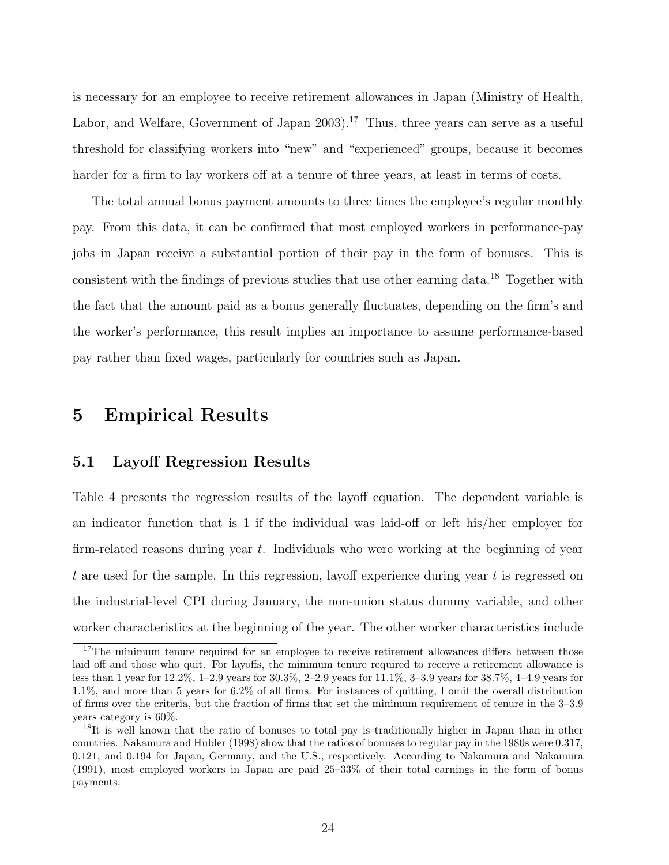is necessary for an employee to receive retirement allowances in Japan (Ministry of Health, Labor, and Welfare, Government of Japan 2003).<sup>17</sup> Thus, three years can serve as a useful threshold for classifying workers into "new" and "experienced" groups, because it becomes harder for a firm to lay workers off at a tenure of three years, at least in terms of costs.

The total annual bonus payment amounts to three times the employee's regular monthly pay. From this data, it can be confirmed that most employed workers in performance-pay jobs in Japan receive a substantial portion of their pay in the form of bonuses. This is consistent with the findings of previous studies that use other earning data.<sup>18</sup> Together with the fact that the amount paid as a bonus generally fluctuates, depending on the firm's and the worker's performance, this result implies an importance to assume performance-based pay rather than fixed wages, particularly for countries such as Japan.

# 5 Empirical Results

## 5.1 Layoff Regression Results

Table 4 presents the regression results of the layoff equation. The dependent variable is an indicator function that is 1 if the individual was laid-off or left his/her employer for firm-related reasons during year t. Individuals who were working at the beginning of year t are used for the sample. In this regression, layoff experience during year t is regressed on the industrial-level CPI during January, the non-union status dummy variable, and other worker characteristics at the beginning of the year. The other worker characteristics include

<sup>&</sup>lt;sup>17</sup>The minimum tenure required for an employee to receive retirement allowances differs between those laid off and those who quit. For layoffs, the minimum tenure required to receive a retirement allowance is less than 1 year for 12.2%, 1–2.9 years for 30.3%, 2–2.9 years for 11.1%, 3–3.9 years for 38.7%, 4–4.9 years for 1.1%, and more than 5 years for 6.2% of all firms. For instances of quitting, I omit the overall distribution of firms over the criteria, but the fraction of firms that set the minimum requirement of tenure in the 3–3.9 years category is 60%.

<sup>&</sup>lt;sup>18</sup>It is well known that the ratio of bonuses to total pay is traditionally higher in Japan than in other countries. Nakamura and Hubler (1998) show that the ratios of bonuses to regular pay in the 1980s were 0.317, 0.121, and 0.194 for Japan, Germany, and the U.S., respectively. According to Nakamura and Nakamura (1991), most employed workers in Japan are paid 25–33% of their total earnings in the form of bonus payments.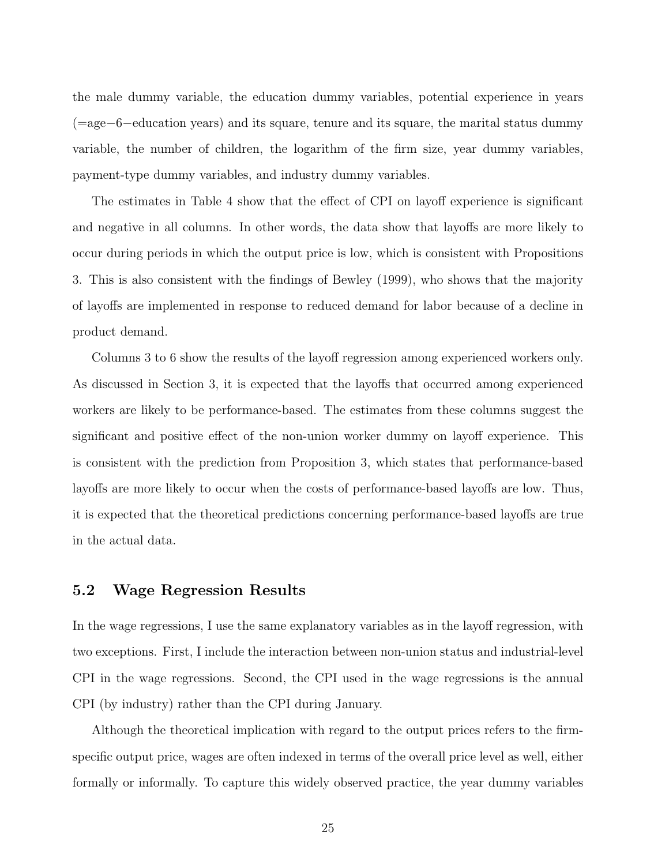the male dummy variable, the education dummy variables, potential experience in years (=age−6−education years) and its square, tenure and its square, the marital status dummy variable, the number of children, the logarithm of the firm size, year dummy variables, payment-type dummy variables, and industry dummy variables.

The estimates in Table 4 show that the effect of CPI on layoff experience is significant and negative in all columns. In other words, the data show that layoffs are more likely to occur during periods in which the output price is low, which is consistent with Propositions 3. This is also consistent with the findings of Bewley (1999), who shows that the majority of layoffs are implemented in response to reduced demand for labor because of a decline in product demand.

Columns 3 to 6 show the results of the layoff regression among experienced workers only. As discussed in Section 3, it is expected that the layoffs that occurred among experienced workers are likely to be performance-based. The estimates from these columns suggest the significant and positive effect of the non-union worker dummy on layoff experience. This is consistent with the prediction from Proposition 3, which states that performance-based layoffs are more likely to occur when the costs of performance-based layoffs are low. Thus, it is expected that the theoretical predictions concerning performance-based layoffs are true in the actual data.

# 5.2 Wage Regression Results

In the wage regressions, I use the same explanatory variables as in the layoff regression, with two exceptions. First, I include the interaction between non-union status and industrial-level CPI in the wage regressions. Second, the CPI used in the wage regressions is the annual CPI (by industry) rather than the CPI during January.

Although the theoretical implication with regard to the output prices refers to the firmspecific output price, wages are often indexed in terms of the overall price level as well, either formally or informally. To capture this widely observed practice, the year dummy variables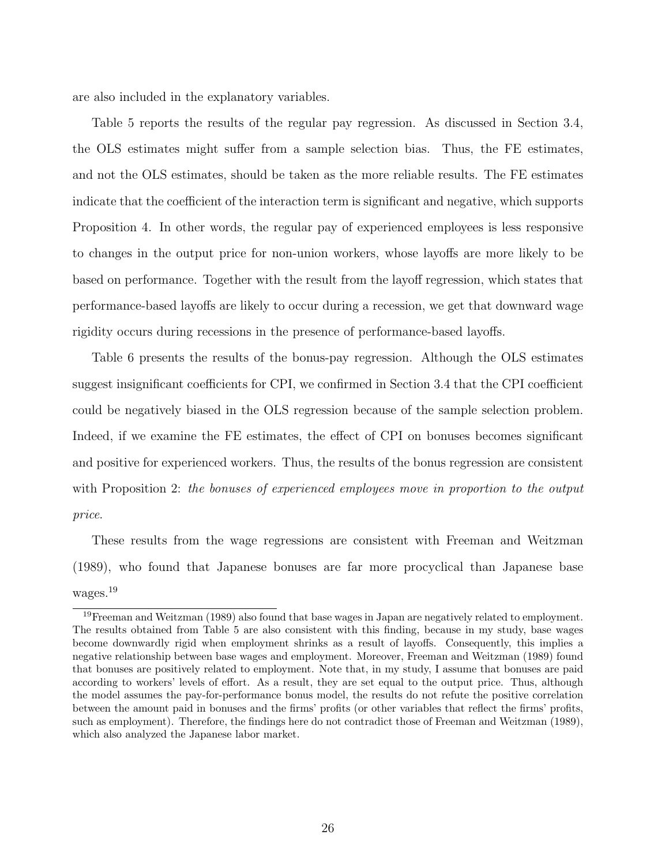are also included in the explanatory variables.

Table 5 reports the results of the regular pay regression. As discussed in Section 3.4, the OLS estimates might suffer from a sample selection bias. Thus, the FE estimates, and not the OLS estimates, should be taken as the more reliable results. The FE estimates indicate that the coefficient of the interaction term is significant and negative, which supports Proposition 4. In other words, the regular pay of experienced employees is less responsive to changes in the output price for non-union workers, whose layoffs are more likely to be based on performance. Together with the result from the layoff regression, which states that performance-based layoffs are likely to occur during a recession, we get that downward wage rigidity occurs during recessions in the presence of performance-based layoffs.

Table 6 presents the results of the bonus-pay regression. Although the OLS estimates suggest insignificant coefficients for CPI, we confirmed in Section 3.4 that the CPI coefficient could be negatively biased in the OLS regression because of the sample selection problem. Indeed, if we examine the FE estimates, the effect of CPI on bonuses becomes significant and positive for experienced workers. Thus, the results of the bonus regression are consistent with Proposition 2: the bonuses of experienced employees move in proportion to the output price.

These results from the wage regressions are consistent with Freeman and Weitzman (1989), who found that Japanese bonuses are far more procyclical than Japanese base wages.<sup>19</sup>

<sup>&</sup>lt;sup>19</sup>Freeman and Weitzman (1989) also found that base wages in Japan are negatively related to employment. The results obtained from Table 5 are also consistent with this finding, because in my study, base wages become downwardly rigid when employment shrinks as a result of layoffs. Consequently, this implies a negative relationship between base wages and employment. Moreover, Freeman and Weitzman (1989) found that bonuses are positively related to employment. Note that, in my study, I assume that bonuses are paid according to workers' levels of effort. As a result, they are set equal to the output price. Thus, although the model assumes the pay-for-performance bonus model, the results do not refute the positive correlation between the amount paid in bonuses and the firms' profits (or other variables that reflect the firms' profits, such as employment). Therefore, the findings here do not contradict those of Freeman and Weitzman (1989), which also analyzed the Japanese labor market.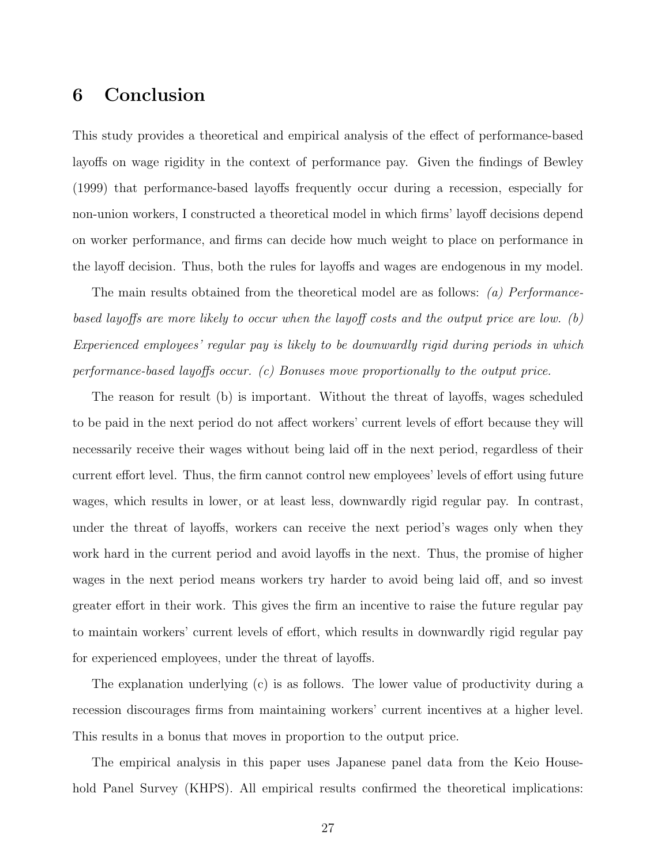# 6 Conclusion

This study provides a theoretical and empirical analysis of the effect of performance-based layoffs on wage rigidity in the context of performance pay. Given the findings of Bewley (1999) that performance-based layoffs frequently occur during a recession, especially for non-union workers, I constructed a theoretical model in which firms' layoff decisions depend on worker performance, and firms can decide how much weight to place on performance in the layoff decision. Thus, both the rules for layoffs and wages are endogenous in my model.

The main results obtained from the theoretical model are as follows: (a) Performancebased layoffs are more likely to occur when the layoff costs and the output price are low. (b) Experienced employees' regular pay is likely to be downwardly rigid during periods in which performance-based layoffs occur. (c) Bonuses move proportionally to the output price.

The reason for result (b) is important. Without the threat of layoffs, wages scheduled to be paid in the next period do not affect workers' current levels of effort because they will necessarily receive their wages without being laid off in the next period, regardless of their current effort level. Thus, the firm cannot control new employees' levels of effort using future wages, which results in lower, or at least less, downwardly rigid regular pay. In contrast, under the threat of layoffs, workers can receive the next period's wages only when they work hard in the current period and avoid layoffs in the next. Thus, the promise of higher wages in the next period means workers try harder to avoid being laid off, and so invest greater effort in their work. This gives the firm an incentive to raise the future regular pay to maintain workers' current levels of effort, which results in downwardly rigid regular pay for experienced employees, under the threat of layoffs.

The explanation underlying (c) is as follows. The lower value of productivity during a recession discourages firms from maintaining workers' current incentives at a higher level. This results in a bonus that moves in proportion to the output price.

The empirical analysis in this paper uses Japanese panel data from the Keio Household Panel Survey (KHPS). All empirical results confirmed the theoretical implications: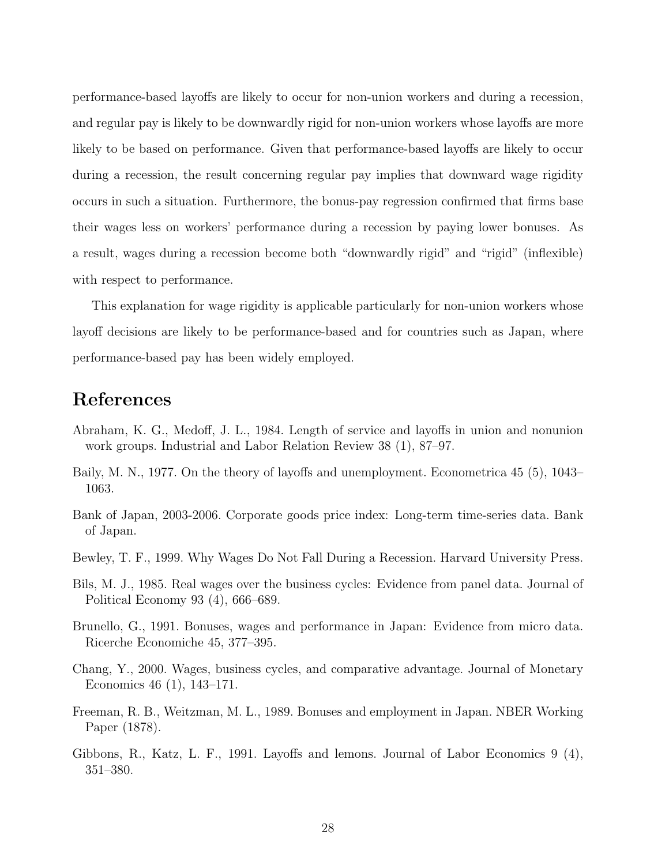performance-based layoffs are likely to occur for non-union workers and during a recession, and regular pay is likely to be downwardly rigid for non-union workers whose layoffs are more likely to be based on performance. Given that performance-based layoffs are likely to occur during a recession, the result concerning regular pay implies that downward wage rigidity occurs in such a situation. Furthermore, the bonus-pay regression confirmed that firms base their wages less on workers' performance during a recession by paying lower bonuses. As a result, wages during a recession become both "downwardly rigid" and "rigid" (inflexible) with respect to performance.

This explanation for wage rigidity is applicable particularly for non-union workers whose layoff decisions are likely to be performance-based and for countries such as Japan, where performance-based pay has been widely employed.

# References

- Abraham, K. G., Medoff, J. L., 1984. Length of service and layoffs in union and nonunion work groups. Industrial and Labor Relation Review 38 (1), 87–97.
- Baily, M. N., 1977. On the theory of layoffs and unemployment. Econometrica 45 (5), 1043– 1063.
- Bank of Japan, 2003-2006. Corporate goods price index: Long-term time-series data. Bank of Japan.
- Bewley, T. F., 1999. Why Wages Do Not Fall During a Recession. Harvard University Press.
- Bils, M. J., 1985. Real wages over the business cycles: Evidence from panel data. Journal of Political Economy 93 (4), 666–689.
- Brunello, G., 1991. Bonuses, wages and performance in Japan: Evidence from micro data. Ricerche Economiche 45, 377–395.
- Chang, Y., 2000. Wages, business cycles, and comparative advantage. Journal of Monetary Economics 46 (1), 143–171.
- Freeman, R. B., Weitzman, M. L., 1989. Bonuses and employment in Japan. NBER Working Paper (1878).
- Gibbons, R., Katz, L. F., 1991. Layoffs and lemons. Journal of Labor Economics 9 (4), 351–380.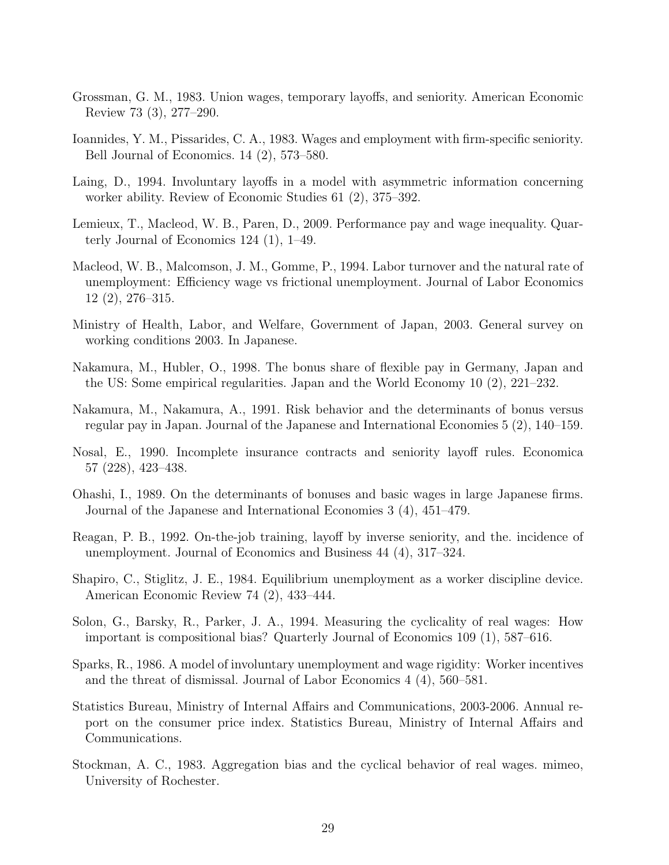- Grossman, G. M., 1983. Union wages, temporary layoffs, and seniority. American Economic Review 73 (3), 277–290.
- Ioannides, Y. M., Pissarides, C. A., 1983. Wages and employment with firm-specific seniority. Bell Journal of Economics. 14 (2), 573–580.
- Laing, D., 1994. Involuntary layoffs in a model with asymmetric information concerning worker ability. Review of Economic Studies 61 (2), 375–392.
- Lemieux, T., Macleod, W. B., Paren, D., 2009. Performance pay and wage inequality. Quarterly Journal of Economics 124 (1), 1–49.
- Macleod, W. B., Malcomson, J. M., Gomme, P., 1994. Labor turnover and the natural rate of unemployment: Efficiency wage vs frictional unemployment. Journal of Labor Economics 12 (2), 276–315.
- Ministry of Health, Labor, and Welfare, Government of Japan, 2003. General survey on working conditions 2003. In Japanese.
- Nakamura, M., Hubler, O., 1998. The bonus share of flexible pay in Germany, Japan and the US: Some empirical regularities. Japan and the World Economy 10 (2), 221–232.
- Nakamura, M., Nakamura, A., 1991. Risk behavior and the determinants of bonus versus regular pay in Japan. Journal of the Japanese and International Economies 5 (2), 140–159.
- Nosal, E., 1990. Incomplete insurance contracts and seniority layoff rules. Economica 57 (228), 423–438.
- Ohashi, I., 1989. On the determinants of bonuses and basic wages in large Japanese firms. Journal of the Japanese and International Economies 3 (4), 451–479.
- Reagan, P. B., 1992. On-the-job training, layoff by inverse seniority, and the. incidence of unemployment. Journal of Economics and Business 44 (4), 317–324.
- Shapiro, C., Stiglitz, J. E., 1984. Equilibrium unemployment as a worker discipline device. American Economic Review 74 (2), 433–444.
- Solon, G., Barsky, R., Parker, J. A., 1994. Measuring the cyclicality of real wages: How important is compositional bias? Quarterly Journal of Economics 109 (1), 587–616.
- Sparks, R., 1986. A model of involuntary unemployment and wage rigidity: Worker incentives and the threat of dismissal. Journal of Labor Economics 4 (4), 560–581.
- Statistics Bureau, Ministry of Internal Affairs and Communications, 2003-2006. Annual report on the consumer price index. Statistics Bureau, Ministry of Internal Affairs and Communications.
- Stockman, A. C., 1983. Aggregation bias and the cyclical behavior of real wages. mimeo, University of Rochester.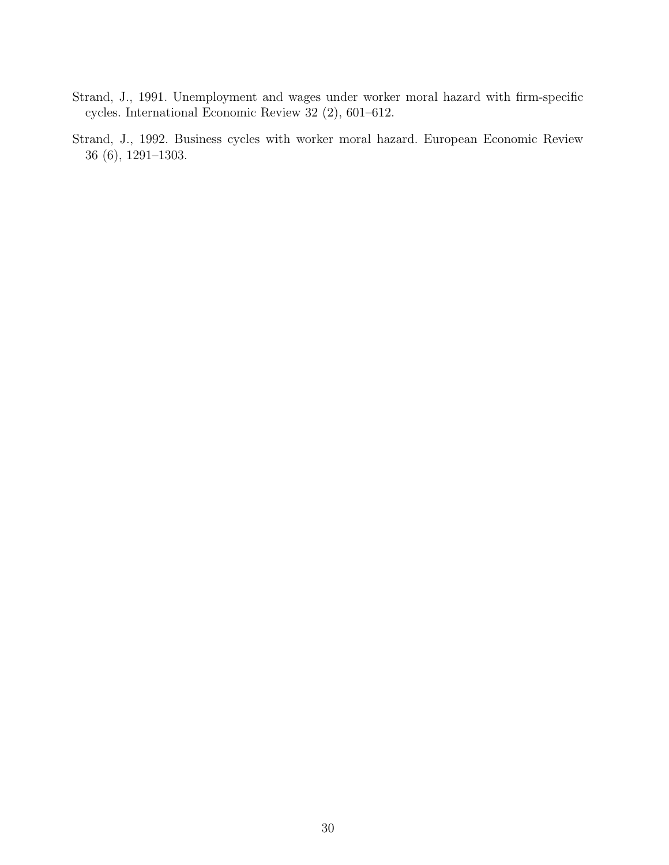- Strand, J., 1991. Unemployment and wages under worker moral hazard with firm-specific cycles. International Economic Review 32 (2), 601–612.
- Strand, J., 1992. Business cycles with worker moral hazard. European Economic Review 36 (6), 1291–1303.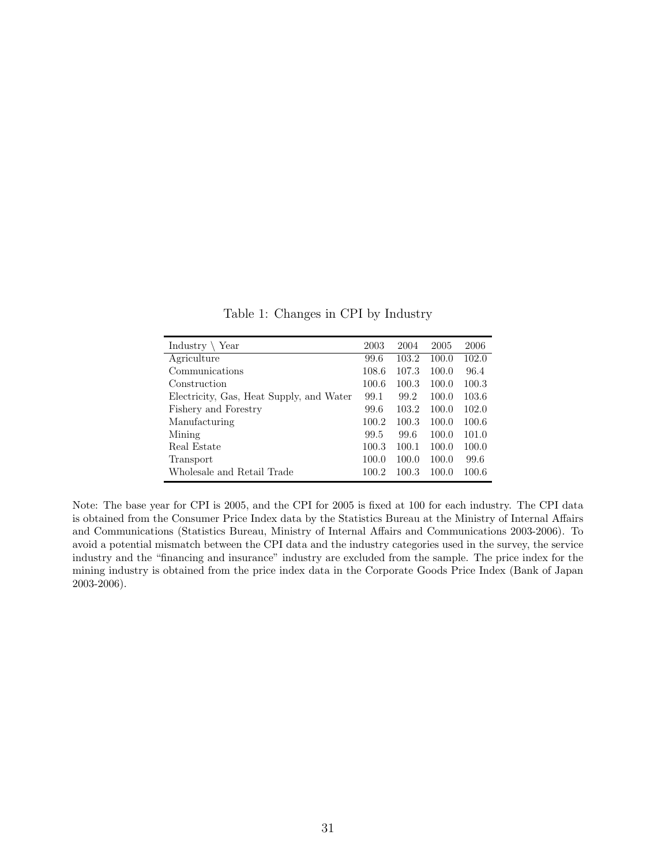| Industry $\setminus$<br>Year             | 2003  | 2004  | 2005  | 2006  |
|------------------------------------------|-------|-------|-------|-------|
| Agriculture                              | 99.6  | 103.2 | 100.0 | 102.0 |
| Communications                           | 108.6 | 107.3 | 100.0 | 96.4  |
| Construction                             | 100.6 | 100.3 | 100.0 | 100.3 |
| Electricity, Gas, Heat Supply, and Water | 99.1  | 99.2  | 100.0 | 103.6 |
| Fishery and Forestry                     | 99.6  | 103.2 | 100.0 | 102.0 |
| Manufacturing                            | 100.2 | 100.3 | 100.0 | 100.6 |
| Mining                                   | 99.5  | 99.6  | 100.0 | 101.0 |
| Real Estate                              | 100.3 | 100.1 | 100.0 | 100.0 |
| Transport                                | 100.0 | 100.0 | 100.0 | 99.6  |
| Wholesale and Retail Trade               | 100.2 | 100.3 | 100.0 | 100.6 |

Table 1: Changes in CPI by Industry

Note: The base year for CPI is 2005, and the CPI for 2005 is fixed at 100 for each industry. The CPI data is obtained from the Consumer Price Index data by the Statistics Bureau at the Ministry of Internal Affairs and Communications (Statistics Bureau, Ministry of Internal Affairs and Communications 2003-2006). To avoid a potential mismatch between the CPI data and the industry categories used in the survey, the service industry and the "financing and insurance" industry are excluded from the sample. The price index for the mining industry is obtained from the price index data in the Corporate Goods Price Index (Bank of Japan 2003-2006).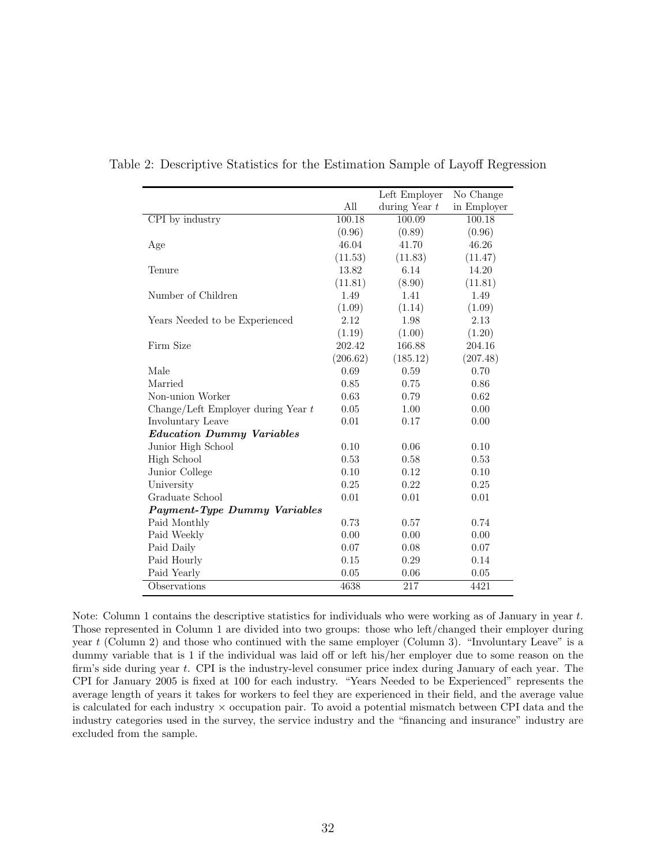|                                      |          | Left Employer   | No Change   |
|--------------------------------------|----------|-----------------|-------------|
|                                      | All      | during Year $t$ | in Employer |
| CPI by industry                      | 100.18   | 100.09          | 100.18      |
|                                      | (0.96)   | (0.89)          | (0.96)      |
| Age                                  | 46.04    | 41.70           | 46.26       |
|                                      | (11.53)  | (11.83)         | (11.47)     |
| Tenure                               | 13.82    | 6.14            | 14.20       |
|                                      | (11.81)  | (8.90)          | (11.81)     |
| Number of Children                   | 1.49     | 1.41            | 1.49        |
|                                      | (1.09)   | (1.14)          | (1.09)      |
| Years Needed to be Experienced       | 2.12     | 1.98            | 2.13        |
|                                      | (1.19)   | (1.00)          | (1.20)      |
| Firm Size                            | 202.42   | 166.88          | 204.16      |
|                                      | (206.62) | (185.12)        | (207.48)    |
| Male                                 | 0.69     | 0.59            | 0.70        |
| Married                              | 0.85     | 0.75            | 0.86        |
| Non-union Worker                     | 0.63     | 0.79            | 0.62        |
| Change/Left Employer during Year $t$ | 0.05     | 1.00            | 0.00        |
| Involuntary Leave                    | 0.01     | 0.17            | 0.00        |
| <b>Education Dummy Variables</b>     |          |                 |             |
| Junior High School                   | 0.10     | 0.06            | 0.10        |
| High School                          | 0.53     | 0.58            | 0.53        |
| Junior College                       | 0.10     | 0.12            | 0.10        |
| University                           | 0.25     | 0.22            | 0.25        |
| Graduate School                      | 0.01     | 0.01            | 0.01        |
| <b>Payment-Type Dummy Variables</b>  |          |                 |             |
| Paid Monthly                         | 0.73     | 0.57            | 0.74        |
| Paid Weekly                          | 0.00     | 0.00            | 0.00        |
| Paid Daily                           | 0.07     | 0.08            | 0.07        |
| Paid Hourly                          | 0.15     | 0.29            | 0.14        |
| Paid Yearly                          | 0.05     | 0.06            | 0.05        |
| Observations                         | 4638     | 217             | 4421        |

Table 2: Descriptive Statistics for the Estimation Sample of Layoff Regression

Note: Column 1 contains the descriptive statistics for individuals who were working as of January in year t. Those represented in Column 1 are divided into two groups: those who left/changed their employer during year t (Column 2) and those who continued with the same employer (Column 3). "Involuntary Leave" is a dummy variable that is 1 if the individual was laid off or left his/her employer due to some reason on the firm's side during year t. CPI is the industry-level consumer price index during January of each year. The CPI for January 2005 is fixed at 100 for each industry. "Years Needed to be Experienced" represents the average length of years it takes for workers to feel they are experienced in their field, and the average value is calculated for each industry  $\times$  occupation pair. To avoid a potential mismatch between CPI data and the industry categories used in the survey, the service industry and the "financing and insurance" industry are excluded from the sample.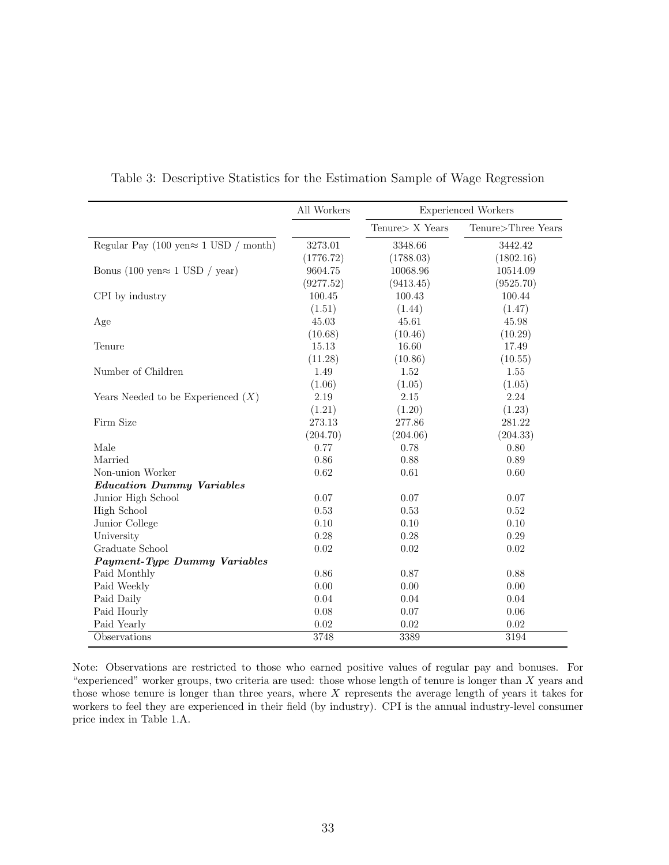|                                               | All Workers |                 | <b>Experienced Workers</b> |  |  |
|-----------------------------------------------|-------------|-----------------|----------------------------|--|--|
|                                               |             | Tenure> X Years | Tenure>Three Years         |  |  |
| Regular Pay (100 yen $\approx$ 1 USD / month) | 3273.01     | 3348.66         | 3442.42                    |  |  |
|                                               | (1776.72)   | (1788.03)       | (1802.16)                  |  |  |
| Bonus (100 yen $\approx$ 1 USD / year)        | 9604.75     | 10068.96        | 10514.09                   |  |  |
|                                               | (9277.52)   | (9413.45)       | (9525.70)                  |  |  |
| CPI by industry                               | 100.45      | 100.43          | 100.44                     |  |  |
|                                               | (1.51)      | (1.44)          | (1.47)                     |  |  |
| Age                                           | 45.03       | 45.61           | 45.98                      |  |  |
|                                               | (10.68)     | (10.46)         | (10.29)                    |  |  |
| Tenure                                        | 15.13       | 16.60           | 17.49                      |  |  |
|                                               | (11.28)     | (10.86)         | (10.55)                    |  |  |
| Number of Children                            | 1.49        | 1.52            | 1.55                       |  |  |
|                                               | (1.06)      | (1.05)          | (1.05)                     |  |  |
| Years Needed to be Experienced $(X)$          | 2.19        | 2.15            | 2.24                       |  |  |
|                                               | (1.21)      | (1.20)          | (1.23)                     |  |  |
| Firm Size                                     | 273.13      | 277.86          | 281.22                     |  |  |
|                                               | (204.70)    | (204.06)        | (204.33)                   |  |  |
| Male                                          | 0.77        | 0.78            | 0.80                       |  |  |
| Married                                       | 0.86        | 0.88            | 0.89                       |  |  |
| Non-union Worker                              | 0.62        | 0.61            | 0.60                       |  |  |
| <b>Education Dummy Variables</b>              |             |                 |                            |  |  |
| Junior High School                            | 0.07        | 0.07            | 0.07                       |  |  |
| High School                                   | 0.53        | 0.53            | 0.52                       |  |  |
| Junior College                                | 0.10        | 0.10            | 0.10                       |  |  |
| University                                    | 0.28        | 0.28            | 0.29                       |  |  |
| Graduate School                               | 0.02        | $0.02\,$        | 0.02                       |  |  |
| Payment-Type Dummy Variables                  |             |                 |                            |  |  |
| Paid Monthly                                  | 0.86        | 0.87            | 0.88                       |  |  |
| Paid Weekly                                   | 0.00        | 0.00            | 0.00                       |  |  |
| Paid Daily                                    | 0.04        | 0.04            | 0.04                       |  |  |
| Paid Hourly                                   | 0.08        | 0.07            | 0.06                       |  |  |
| Paid Yearly                                   | 0.02        | 0.02            | 0.02                       |  |  |
| Observations                                  | 3748        | 3389            | 3194                       |  |  |

Table 3: Descriptive Statistics for the Estimation Sample of Wage Regression

Note: Observations are restricted to those who earned positive values of regular pay and bonuses. For "experienced" worker groups, two criteria are used: those whose length of tenure is longer than X years and those whose tenure is longer than three years, where X represents the average length of years it takes for workers to feel they are experienced in their field (by industry). CPI is the annual industry-level consumer price index in Table 1.A.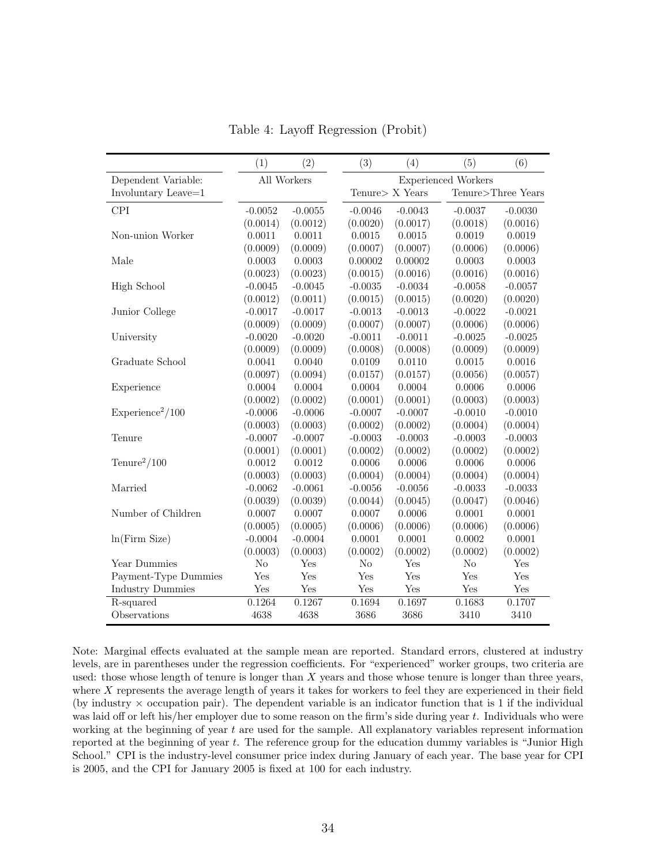|                             | (1)       | (2)         | (3)                  | (4)                                   | (5)       | (6)       |  |
|-----------------------------|-----------|-------------|----------------------|---------------------------------------|-----------|-----------|--|
| Dependent Variable:         |           | All Workers |                      | <b>Experienced Workers</b>            |           |           |  |
| Involuntary Leave=1         |           |             |                      | Tenure> X Years<br>Tenure>Three Years |           |           |  |
| <b>CPI</b>                  | $-0.0052$ | $-0.0055$   | $-0.0046$            | $-0.0043$                             | $-0.0037$ | $-0.0030$ |  |
|                             | (0.0014)  | (0.0012)    | (0.0020)             | (0.0017)                              | (0.0018)  | (0.0016)  |  |
| Non-union Worker            | 0.0011    | 0.0011      | 0.0015               | 0.0015                                | 0.0019    | 0.0019    |  |
|                             | (0.0009)  | (0.0009)    | (0.0007)             | (0.0007)                              | (0.0006)  | (0.0006)  |  |
| Male                        | 0.0003    | 0.0003      | 0.00002              | 0.00002                               | 0.0003    | 0.0003    |  |
|                             | (0.0023)  | (0.0023)    | (0.0015)             | (0.0016)                              | (0.0016)  | (0.0016)  |  |
| High School                 | $-0.0045$ | $-0.0045$   | $-0.0035$            | $-0.0034$                             | $-0.0058$ | $-0.0057$ |  |
|                             | (0.0012)  | (0.0011)    | (0.0015)             | (0.0015)                              | (0.0020)  | (0.0020)  |  |
| Junior College              | $-0.0017$ | $-0.0017$   | $-0.0013$            | $-0.0013$                             | $-0.0022$ | $-0.0021$ |  |
|                             | (0.0009)  | (0.0009)    | (0.0007)             | (0.0007)                              | (0.0006)  | (0.0006)  |  |
| University                  | $-0.0020$ | $-0.0020$   | $-0.0011$            | $-0.0011$                             | $-0.0025$ | $-0.0025$ |  |
|                             | (0.0009)  | (0.0009)    | (0.0008)             | (0.0008)                              | (0.0009)  | (0.0009)  |  |
| Graduate School             | 0.0041    | 0.0040      | 0.0109               | 0.0110                                | 0.0015    | 0.0016    |  |
|                             | (0.0097)  | (0.0094)    | (0.0157)             | (0.0157)                              | (0.0056)  | (0.0057)  |  |
| Experience                  | 0.0004    | 0.0004      | 0.0004               | 0.0004                                | 0.0006    | 0.0006    |  |
|                             | (0.0002)  | (0.0002)    | (0.0001)             | (0.0001)                              | (0.0003)  | (0.0003)  |  |
| $\text{Experience}^2/100$   | $-0.0006$ | $-0.0006$   | $-0.0007$            | $-0.0007$                             | $-0.0010$ | $-0.0010$ |  |
|                             | (0.0003)  | (0.0003)    | (0.0002)             | (0.0002)                              | (0.0004)  | (0.0004)  |  |
| Tenure                      | $-0.0007$ | $-0.0007$   | $-0.0003$            | $-0.0003$                             | $-0.0003$ | $-0.0003$ |  |
|                             | (0.0001)  | (0.0001)    | (0.0002)             | (0.0002)                              | (0.0002)  | (0.0002)  |  |
| $T$ enure <sup>2</sup> /100 | 0.0012    | 0.0012      | 0.0006               | 0.0006                                | 0.0006    | 0.0006    |  |
|                             | (0.0003)  | (0.0003)    | (0.0004)             | (0.0004)                              | (0.0004)  | (0.0004)  |  |
| Married                     | $-0.0062$ | $-0.0061$   | $-0.0056$            | $-0.0056$                             | $-0.0033$ | $-0.0033$ |  |
|                             | (0.0039)  | (0.0039)    | (0.0044)             | (0.0045)                              | (0.0047)  | (0.0046)  |  |
| Number of Children          | 0.0007    | 0.0007      | 0.0007               | 0.0006                                | 0.0001    | 0.0001    |  |
|                             | (0.0005)  | (0.0005)    | (0.0006)             | (0.0006)                              | (0.0006)  | (0.0006)  |  |
| ln(Firm Size)               | $-0.0004$ | $-0.0004$   | 0.0001               | 0.0001                                | 0.0002    | 0.0001    |  |
|                             | (0.0003)  | (0.0003)    | (0.0002)             | (0.0002)                              | (0.0002)  | (0.0002)  |  |
| Year Dummies                | $\rm No$  | Yes         | No                   | Yes                                   | No        | Yes       |  |
| Payment-Type Dummies        | Yes       | Yes         | Yes                  | Yes                                   | Yes       | Yes       |  |
| <b>Industry Dummies</b>     | Yes       | Yes         | $\operatorname{Yes}$ | Yes                                   | Yes       | Yes       |  |
| R-squared                   | 0.1264    | 0.1267      | 0.1694               | 0.1697                                | 0.1683    | 0.1707    |  |
| Observations                | 4638      | 4638        | 3686                 | 3686                                  | 3410      | 3410      |  |

Table 4: Layoff Regression (Probit)

Note: Marginal effects evaluated at the sample mean are reported. Standard errors, clustered at industry levels, are in parentheses under the regression coefficients. For "experienced" worker groups, two criteria are used: those whose length of tenure is longer than X years and those whose tenure is longer than three years, where X represents the average length of years it takes for workers to feel they are experienced in their field (by industry  $\times$  occupation pair). The dependent variable is an indicator function that is 1 if the individual was laid off or left his/her employer due to some reason on the firm's side during year t. Individuals who were working at the beginning of year  $t$  are used for the sample. All explanatory variables represent information reported at the beginning of year t. The reference group for the education dummy variables is "Junior High School." CPI is the industry-level consumer price index during January of each year. The base year for CPI is 2005, and the CPI for January 2005 is fixed at 100 for each industry.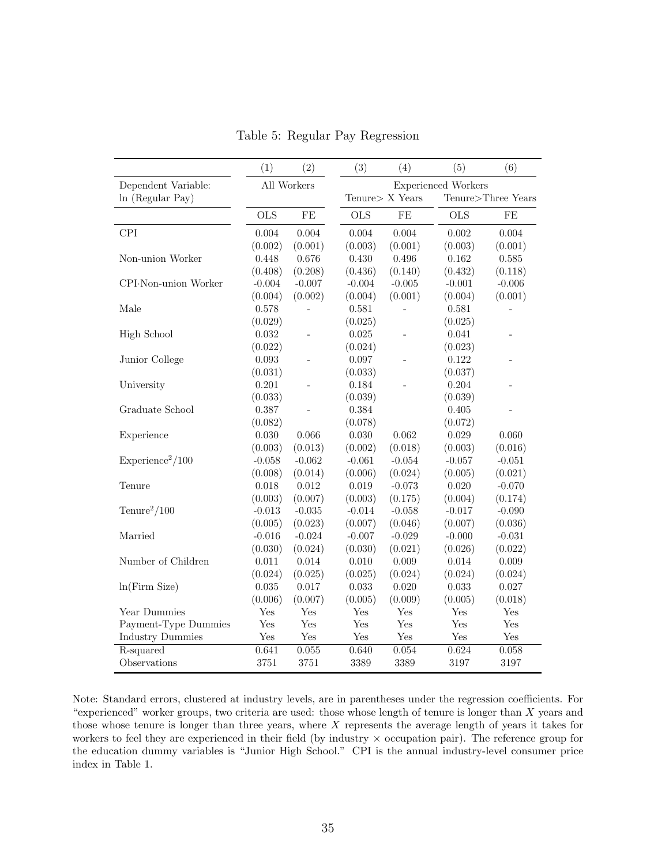|                             | (1)        | (2)            | (3)                        | (4)             | (5)                | (6)      |  |
|-----------------------------|------------|----------------|----------------------------|-----------------|--------------------|----------|--|
| Dependent Variable:         |            | All Workers    | <b>Experienced Workers</b> |                 |                    |          |  |
| ln (Regular Pay)            |            |                |                            | Tenure> X Years | Tenure>Three Years |          |  |
|                             | <b>OLS</b> | $\rm FE$       | <b>OLS</b><br>$\rm FE$     |                 | <b>OLS</b>         | FE       |  |
| <b>CPI</b>                  | 0.004      | 0.004          | 0.004                      | 0.004           | 0.002              | 0.004    |  |
|                             | (0.002)    | (0.001)        | (0.003)                    | (0.001)         | (0.003)            | (0.001)  |  |
| Non-union Worker            | 0.448      | 0.676          | 0.430                      | 0.496           | 0.162              | 0.585    |  |
|                             | (0.408)    | (0.208)        | (0.436)                    | (0.140)         | (0.432)            | (0.118)  |  |
| CPI-Non-union Worker        | $-0.004$   | $-0.007$       | $-0.004$                   | $-0.005$        | $-0.001$           | $-0.006$ |  |
|                             | (0.004)    | (0.002)        | (0.004)                    | (0.001)         | (0.004)            | (0.001)  |  |
| Male                        | 0.578      |                | 0.581                      |                 | 0.581              |          |  |
|                             | (0.029)    |                | (0.025)                    |                 | (0.025)            |          |  |
| High School                 | 0.032      | $\overline{a}$ | 0.025                      | $\overline{a}$  | 0.041              |          |  |
|                             | (0.022)    |                | (0.024)                    |                 | (0.023)            |          |  |
| Junior College              | 0.093      |                | 0.097                      |                 | 0.122              |          |  |
|                             | (0.031)    |                | (0.033)                    |                 | (0.037)            |          |  |
| University                  | 0.201      |                | 0.184                      |                 | 0.204              |          |  |
|                             | (0.033)    |                | (0.039)                    |                 | (0.039)            |          |  |
| Graduate School             | 0.387      |                | 0.384                      |                 | 0.405              |          |  |
|                             | (0.082)    |                | (0.078)                    |                 | (0.072)            |          |  |
| Experience                  | 0.030      | 0.066          | 0.030                      | 0.062           | 0.029              | 0.060    |  |
|                             | (0.003)    | (0.013)        | (0.002)                    | (0.018)         | (0.003)            | (0.016)  |  |
| $Experience^2/100$          | $-0.058$   | $-0.062$       | $-0.061$                   | $-0.054$        | $-0.057$           | $-0.051$ |  |
|                             | (0.008)    | (0.014)        | (0.006)                    | (0.024)         | (0.005)            | (0.021)  |  |
| Tenure                      | 0.018      | $\rm 0.012$    | 0.019                      | $-0.073$        | 0.020              | $-0.070$ |  |
|                             | (0.003)    | (0.007)        | (0.003)                    | (0.175)         | (0.004)            | (0.174)  |  |
| $T$ enure <sup>2</sup> /100 | $-0.013$   | $-0.035$       | $-0.014$                   | $-0.058$        | $-0.017$           | $-0.090$ |  |
|                             | (0.005)    | (0.023)        | (0.007)                    | (0.046)         | (0.007)            | (0.036)  |  |
| Married                     | $-0.016$   | $-0.024$       | $-0.007$                   | $-0.029$        | $-0.000$           | $-0.031$ |  |
|                             | (0.030)    | (0.024)        | (0.030)                    | (0.021)         | (0.026)            | (0.022)  |  |
| Number of Children          | 0.011      | 0.014          | 0.010                      | 0.009           | 0.014              | 0.009    |  |
|                             | (0.024)    | (0.025)        | (0.025)                    | (0.024)         | (0.024)            | (0.024)  |  |
| ln(Firm Size)               | 0.035      | 0.017          | 0.033                      | 0.020           | 0.033              | 0.027    |  |
|                             | (0.006)    | (0.007)        | (0.005)                    | (0.009)         | (0.005)            | (0.018)  |  |
| Year Dummies                | Yes        | Yes            | Yes                        | Yes             | Yes                | Yes      |  |
| Payment-Type Dummies        | Yes        | Yes            | Yes                        | Yes             | Yes                | Yes      |  |
| <b>Industry Dummies</b>     | Yes        | Yes            | Yes                        | Yes             | Yes                | Yes      |  |
| R-squared                   | 0.641      | 0.055          | 0.640                      | 0.054           | 0.624              | 0.058    |  |
| Observations                | 3751       | 3751           | 3389                       | 3389            | 3197               | 3197     |  |

Table 5: Regular Pay Regression

Note: Standard errors, clustered at industry levels, are in parentheses under the regression coefficients. For "experienced" worker groups, two criteria are used: those whose length of tenure is longer than X years and those whose tenure is longer than three years, where X represents the average length of years it takes for workers to feel they are experienced in their field (by industry  $\times$  occupation pair). The reference group for the education dummy variables is "Junior High School." CPI is the annual industry-level consumer price index in Table 1.